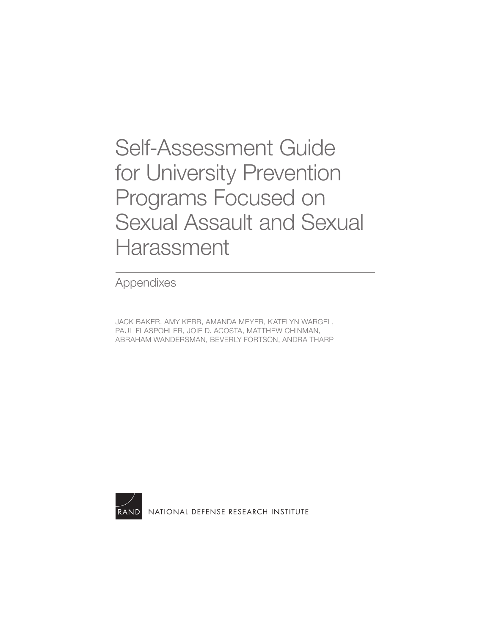Self-Assessment Guide for University Prevention Programs Focused on [Sexual Assault and Sexual](https://www.rand.org/pubs/tools/TLA746-3.html)  **Harassment** 

Appendixes

JACK BAKER, AMY KERR, AMANDA MEYER, KATELYN WARGEL, PAUL FLASPOHLER, JOIE D. ACOSTA, MATTHEW CHINMAN, ABRAHAM WANDERSMAN, BEVERLY FORTSON, ANDRA THARP



[NATIONAL DEFENSE RESEARCH INSTITUTE](https://www.rand.org/nsrd.html)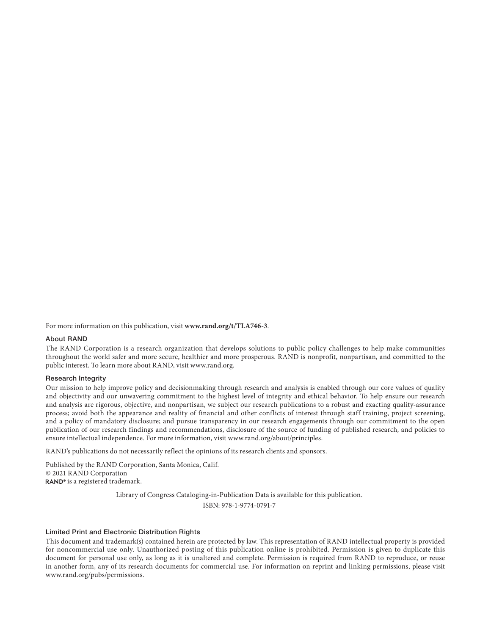For more information on this publication, visit **[www.rand.org/t/TLA746-3](http://www.rand.org/t/TLA746-3)**.

#### About RAND

The RAND Corporation is a research organization that develops solutions to public policy challenges to help make communities throughout the world safer and more secure, healthier and more prosperous. RAND is nonprofit, nonpartisan, and committed to the public interest. To learn more about RAND, visit [www.rand.org.](http://www.rand.org)

#### Research Integrity

Our mission to help improve policy and decisionmaking through research and analysis is enabled through our core values of quality and objectivity and our unwavering commitment to the highest level of integrity and ethical behavior. To help ensure our research and analysis are rigorous, objective, and nonpartisan, we subject our research publications to a robust and exacting quality-assurance process; avoid both the appearance and reality of financial and other conflicts of interest through staff training, project screening, and a policy of mandatory disclosure; and pursue transparency in our research engagements through our commitment to the open publication of our research findings and recommendations, disclosure of the source of funding of published research, and policies to ensure intellectual independence. For more information, visit [www.rand.org/about/principles.](http://www.rand.org/about/principles)

RAND's publications do not necessarily reflect the opinions of its research clients and sponsors.

Published by the RAND Corporation, Santa Monica, Calif. © 2021 RAND Corporation RAND<sup>®</sup> is a registered trademark.

Library of Congress Cataloging-in-Publication Data is available for this publication.

ISBN: 978-1-9774-0791-7

#### Limited Print and Electronic Distribution Rights

This document and trademark(s) contained herein are protected by law. This representation of RAND intellectual property is provided for noncommercial use only. Unauthorized posting of this publication online is prohibited. Permission is given to duplicate this document for personal use only, as long as it is unaltered and complete. Permission is required from RAND to reproduce, or reuse in another form, any of its research documents for commercial use. For information on reprint and linking permissions, please visit [www.rand.org/pubs/permissions.](http://www.rand.org/pubs/permissions)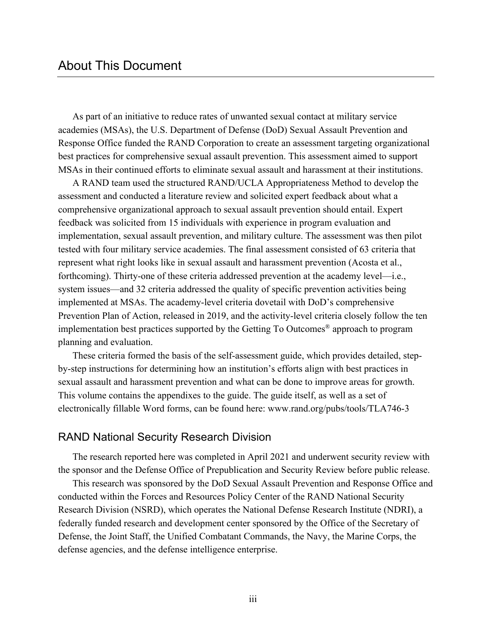As part of an initiative to reduce rates of unwanted sexual contact at military service academies (MSAs), the U.S. Department of Defense (DoD) Sexual Assault Prevention and Response Office funded the RAND Corporation to create an assessment targeting organizational best practices for comprehensive sexual assault prevention. This assessment aimed to support MSAs in their continued efforts to eliminate sexual assault and harassment at their institutions.

A RAND team used the structured RAND/UCLA Appropriateness Method to develop the assessment and conducted a literature review and solicited expert feedback about what a comprehensive organizational approach to sexual assault prevention should entail. Expert feedback was solicited from 15 individuals with experience in program evaluation and implementation, sexual assault prevention, and military culture. The assessment was then pilot tested with four military service academies. The final assessment consisted of 63 criteria that represent what right looks like in sexual assault and harassment prevention (Acosta et al., forthcoming). Thirty-one of these criteria addressed prevention at the academy level—i.e., system issues—and 32 criteria addressed the quality of specific prevention activities being implemented at MSAs. The academy-level criteria dovetail with DoD's comprehensive Prevention Plan of Action, released in 2019, and the activity-level criteria closely follow the ten implementation best practices supported by the Getting To Outcomes® approach to program planning and evaluation.

These criteria formed the basis of the self-assessment guide, which provides detailed, stepby-step instructions for determining how an institution's efforts align with best practices in sexual assault and harassment prevention and what can be done to improve areas for growth. This volume contains the appendixes to the guide. The guide itself, as well as a set of electronically fillable Word forms, can be found here: [www.rand.org/pubs/tools/TLA746-3](http://www.rand.org/pubs/tools/TLA746-3)

### RAND National Security Research Division

The research reported here was completed in April 2021 and underwent security review with the sponsor and the Defense Office of Prepublication and Security Review before public release.

This research was sponsored by the DoD Sexual Assault Prevention and Response Office and conducted within the Forces and Resources Policy Center of the RAND National Security Research Division (NSRD), which operates the National Defense Research Institute (NDRI), a federally funded research and development center sponsored by the Office of the Secretary of Defense, the Joint Staff, the Unified Combatant Commands, the Navy, the Marine Corps, the defense agencies, and the defense intelligence enterprise.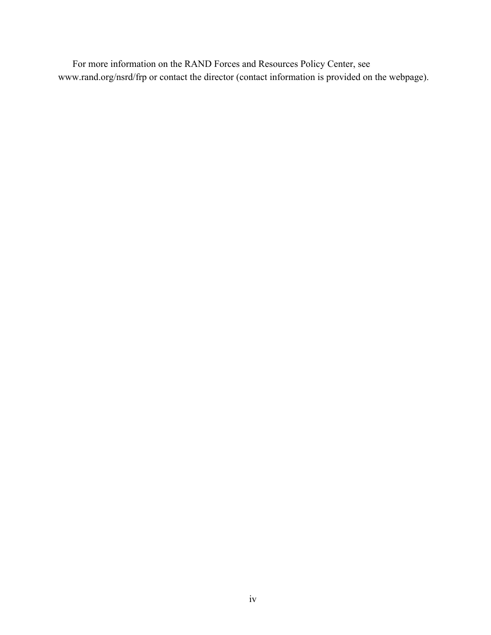For more information on the RAND Forces and Resources Policy Center, see [www.rand.org/nsrd/frp](http://www.rand.org/nsrd/frp) or contact the director (contact information is provided on the webpage).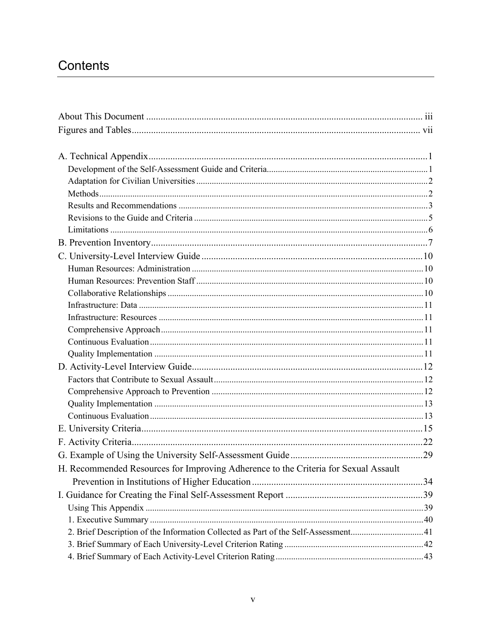# Contents

| H. Recommended Resources for Improving Adherence to the Criteria for Sexual Assault |  |
|-------------------------------------------------------------------------------------|--|
|                                                                                     |  |
|                                                                                     |  |
|                                                                                     |  |
|                                                                                     |  |
| 2. Brief Description of the Information Collected as Part of the Self-Assessment41  |  |
|                                                                                     |  |
|                                                                                     |  |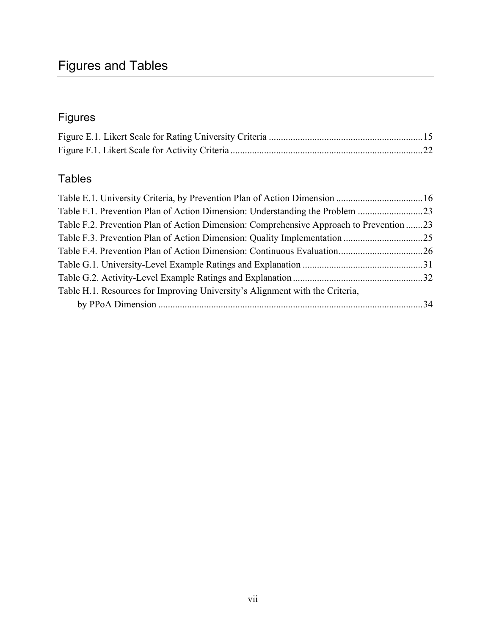# Figures and Tables

# Figures

# Tables

| Table E.1. University Criteria, by Prevention Plan of Action Dimension  16              |  |
|-----------------------------------------------------------------------------------------|--|
|                                                                                         |  |
| Table F.2. Prevention Plan of Action Dimension: Comprehensive Approach to Prevention 23 |  |
|                                                                                         |  |
|                                                                                         |  |
|                                                                                         |  |
|                                                                                         |  |
| Table H.1. Resources for Improving University's Alignment with the Criteria,            |  |
|                                                                                         |  |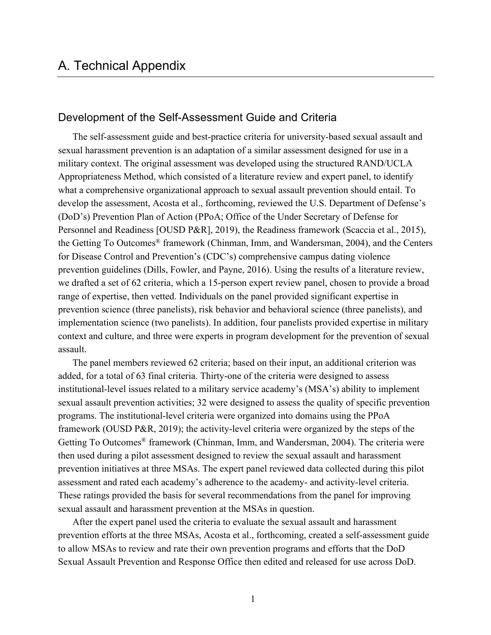#### Development of the Self-Assessment Guide and Criteria

The self-assessment guide and best-practice criteria for university-based sexual assault and sexual harassment prevention is an adaptation of a similar assessment designed for use in a military context. The original assessment was developed using the structured RAND/UCLA Appropriateness Method, which consisted of a literature review and expert panel, to identify what a comprehensive organizational approach to sexual assault prevention should entail. To develop the assessment, Acosta et al., forthcoming, reviewed the U.S. Department of Defense's (DoD's) Prevention Plan of Action (PPoA; Office of the Under Secretary of Defense for Personnel and Readiness [OUSD P&R], 2019), the Readiness framework (Scaccia et al., 2015), the Getting To Outcomes® framework (Chinman, Imm, and Wandersman, 2004), and the Centers for Disease Control and Prevention's (CDC's) comprehensive campus dating violence prevention guidelines (Dills, Fowler, and Payne, 2016). Using the results of a literature review, we drafted a set of 62 criteria, which a 15-person expert review panel, chosen to provide a broad range of expertise, then vetted. Individuals on the panel provided significant expertise in prevention science (three panelists), risk behavior and behavioral science (three panelists), and implementation science (two panelists). In addition, four panelists provided expertise in military context and culture, and three were experts in program development for the prevention of sexual assault.

The panel members reviewed 62 criteria; based on their input, an additional criterion was added, for a total of 63 final criteria. Thirty-one of the criteria were designed to assess institutional-level issues related to a military service academy's (MSA's) ability to implement sexual assault prevention activities; 32 were designed to assess the quality of specific prevention programs. The institutional-level criteria were organized into domains using the PPoA framework (OUSD P&R, 2019); the activity-level criteria were organized by the steps of the Getting To Outcomes® framework (Chinman, Imm, and Wandersman, 2004). The criteria were then used during a pilot assessment designed to review the sexual assault and harassment prevention initiatives at three MSAs. The expert panel reviewed data collected during this pilot assessment and rated each academy's adherence to the academy- and activity-level criteria. These ratings provided the basis for several recommendations from the panel for improving sexual assault and harassment prevention at the MSAs in question.

After the expert panel used the criteria to evaluate the sexual assault and harassment prevention efforts at the three MSAs, Acosta et al., forthcoming, created a self-assessment guide to allow MSAs to review and rate their own prevention programs and efforts that the DoD Sexual Assault Prevention and Response Office then edited and released for use across DoD.

1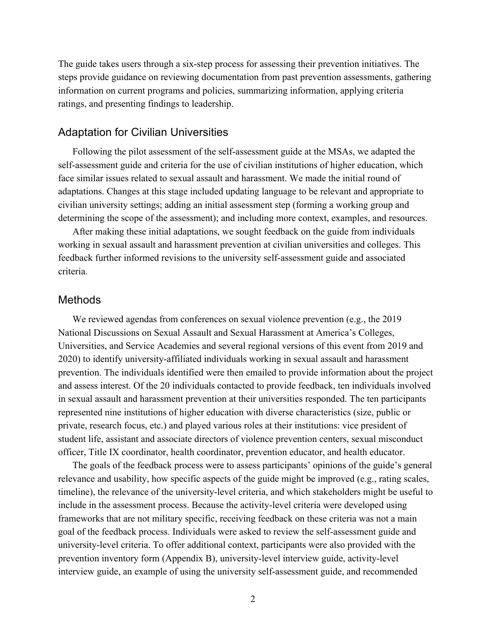The guide takes users through a six-step process for assessing their prevention initiatives. The steps provide guidance on reviewing documentation from past prevention assessments, gathering information on current programs and policies, summarizing information, applying criteria ratings, and presenting findings to leadership.

### Adaptation for Civilian Universities

Following the pilot assessment of the self-assessment guide at the MSAs, we adapted the self-assessment guide and criteria for the use of civilian institutions of higher education, which face similar issues related to sexual assault and harassment. We made the initial round of adaptations. Changes at this stage included updating language to be relevant and appropriate to civilian university settings; adding an initial assessment step (forming a working group and determining the scope of the assessment); and including more context, examples, and resources.

After making these initial adaptations, we sought feedback on the guide from individuals working in sexual assault and harassment prevention at civilian universities and colleges. This feedback further informed revisions to the university self-assessment guide and associated criteria.

#### Methods

We reviewed agendas from conferences on sexual violence prevention (e.g., the 2019 National Discussions on Sexual Assault and Sexual Harassment at America's Colleges, Universities, and Service Academies and several regional versions of this event from 2019 and 2020) to identify university-affiliated individuals working in sexual assault and harassment prevention. The individuals identified were then emailed to provide information about the project and assess interest. Of the 20 individuals contacted to provide feedback, ten individuals involved in sexual assault and harassment prevention at their universities responded. The ten participants represented nine institutions of higher education with diverse characteristics (size, public or private, research focus, etc.) and played various roles at their institutions: vice president of student life, assistant and associate directors of violence prevention centers, sexual misconduct officer, Title IX coordinator, health coordinator, prevention educator, and health educator.

The goals of the feedback process were to assess participants' opinions of the guide's general relevance and usability, how specific aspects of the guide might be improved (e.g., rating scales, timeline), the relevance of the university-level criteria, and which stakeholders might be useful to include in the assessment process. Because the activity-level criteria were developed using frameworks that are not military specific, receiving feedback on these criteria was not a main goal of the feedback process. Individuals were asked to review the self-assessment guide and university-level criteria. To offer additional context, participants were also provided with the prevention inventory form (Appendix B), university-level interview guide, activity-level interview guide, an example of using the university self-assessment guide, and recommended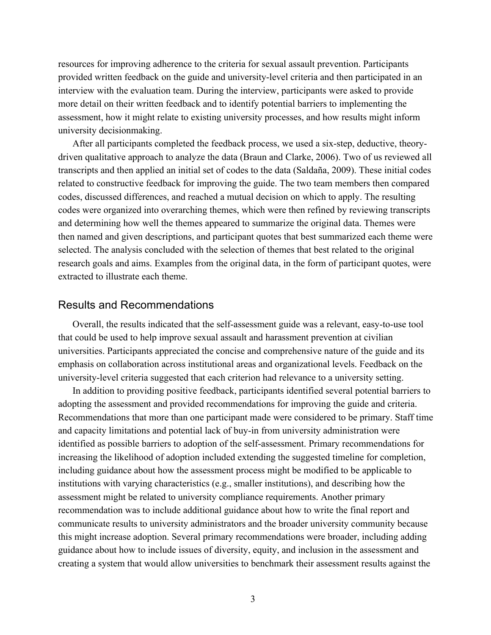resources for improving adherence to the criteria for sexual assault prevention. Participants provided written feedback on the guide and university-level criteria and then participated in an interview with the evaluation team. During the interview, participants were asked to provide more detail on their written feedback and to identify potential barriers to implementing the assessment, how it might relate to existing university processes, and how results might inform university decisionmaking.

After all participants completed the feedback process, we used a six-step, deductive, theorydriven qualitative approach to analyze the data (Braun and Clarke, 2006). Two of us reviewed all transcripts and then applied an initial set of codes to the data (Saldaña, 2009). These initial codes related to constructive feedback for improving the guide. The two team members then compared codes, discussed differences, and reached a mutual decision on which to apply. The resulting codes were organized into overarching themes, which were then refined by reviewing transcripts and determining how well the themes appeared to summarize the original data. Themes were then named and given descriptions, and participant quotes that best summarized each theme were selected. The analysis concluded with the selection of themes that best related to the original research goals and aims. Examples from the original data, in the form of participant quotes, were extracted to illustrate each theme.

#### Results and Recommendations

Overall, the results indicated that the self-assessment guide was a relevant, easy-to-use tool that could be used to help improve sexual assault and harassment prevention at civilian universities. Participants appreciated the concise and comprehensive nature of the guide and its emphasis on collaboration across institutional areas and organizational levels. Feedback on the university-level criteria suggested that each criterion had relevance to a university setting.

In addition to providing positive feedback, participants identified several potential barriers to adopting the assessment and provided recommendations for improving the guide and criteria. Recommendations that more than one participant made were considered to be primary. Staff time and capacity limitations and potential lack of buy-in from university administration were identified as possible barriers to adoption of the self-assessment. Primary recommendations for increasing the likelihood of adoption included extending the suggested timeline for completion, including guidance about how the assessment process might be modified to be applicable to institutions with varying characteristics (e.g., smaller institutions), and describing how the assessment might be related to university compliance requirements. Another primary recommendation was to include additional guidance about how to write the final report and communicate results to university administrators and the broader university community because this might increase adoption. Several primary recommendations were broader, including adding guidance about how to include issues of diversity, equity, and inclusion in the assessment and creating a system that would allow universities to benchmark their assessment results against the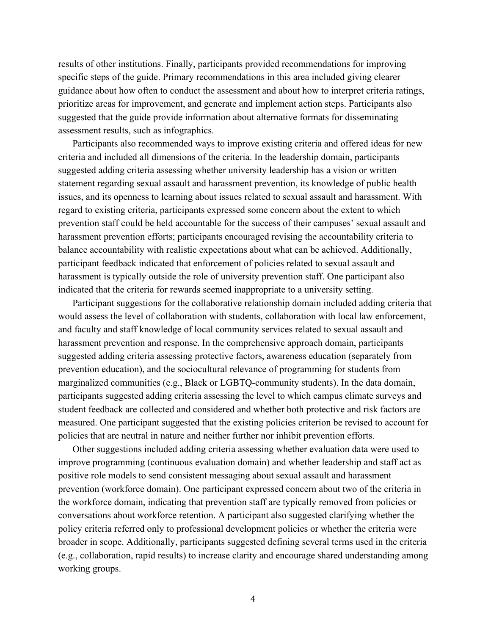results of other institutions. Finally, participants provided recommendations for improving specific steps of the guide. Primary recommendations in this area included giving clearer guidance about how often to conduct the assessment and about how to interpret criteria ratings, prioritize areas for improvement, and generate and implement action steps. Participants also suggested that the guide provide information about alternative formats for disseminating assessment results, such as infographics.

Participants also recommended ways to improve existing criteria and offered ideas for new criteria and included all dimensions of the criteria. In the leadership domain, participants suggested adding criteria assessing whether university leadership has a vision or written statement regarding sexual assault and harassment prevention, its knowledge of public health issues, and its openness to learning about issues related to sexual assault and harassment. With regard to existing criteria, participants expressed some concern about the extent to which prevention staff could be held accountable for the success of their campuses' sexual assault and harassment prevention efforts; participants encouraged revising the accountability criteria to balance accountability with realistic expectations about what can be achieved. Additionally, participant feedback indicated that enforcement of policies related to sexual assault and harassment is typically outside the role of university prevention staff. One participant also indicated that the criteria for rewards seemed inappropriate to a university setting.

Participant suggestions for the collaborative relationship domain included adding criteria that would assess the level of collaboration with students, collaboration with local law enforcement, and faculty and staff knowledge of local community services related to sexual assault and harassment prevention and response. In the comprehensive approach domain, participants suggested adding criteria assessing protective factors, awareness education (separately from prevention education), and the sociocultural relevance of programming for students from marginalized communities (e.g., Black or LGBTQ-community students). In the data domain, participants suggested adding criteria assessing the level to which campus climate surveys and student feedback are collected and considered and whether both protective and risk factors are measured. One participant suggested that the existing policies criterion be revised to account for policies that are neutral in nature and neither further nor inhibit prevention efforts.

Other suggestions included adding criteria assessing whether evaluation data were used to improve programming (continuous evaluation domain) and whether leadership and staff act as positive role models to send consistent messaging about sexual assault and harassment prevention (workforce domain). One participant expressed concern about two of the criteria in the workforce domain, indicating that prevention staff are typically removed from policies or conversations about workforce retention. A participant also suggested clarifying whether the policy criteria referred only to professional development policies or whether the criteria were broader in scope. Additionally, participants suggested defining several terms used in the criteria (e.g., collaboration, rapid results) to increase clarity and encourage shared understanding among working groups.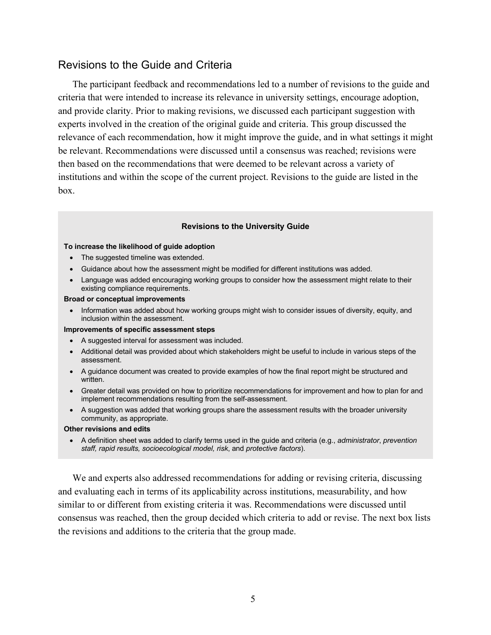### Revisions to the Guide and Criteria

The participant feedback and recommendations led to a number of revisions to the guide and criteria that were intended to increase its relevance in university settings, encourage adoption, and provide clarity. Prior to making revisions, we discussed each participant suggestion with experts involved in the creation of the original guide and criteria. This group discussed the relevance of each recommendation, how it might improve the guide, and in what settings it might be relevant. Recommendations were discussed until a consensus was reached; revisions were then based on the recommendations that were deemed to be relevant across a variety of institutions and within the scope of the current project. Revisions to the guide are listed in the box.

#### **Revisions to the University Guide**

#### **To increase the likelihood of guide adoption**

- The suggested timeline was extended.
- Guidance about how the assessment might be modified for different institutions was added.
- Language was added encouraging working groups to consider how the assessment might relate to their existing compliance requirements.

#### **Broad or conceptual improvements**

• Information was added about how working groups might wish to consider issues of diversity, equity, and inclusion within the assessment.

#### **Improvements of specific assessment steps**

- A suggested interval for assessment was included.
- Additional detail was provided about which stakeholders might be useful to include in various steps of the assessment.
- A guidance document was created to provide examples of how the final report might be structured and written.
- Greater detail was provided on how to prioritize recommendations for improvement and how to plan for and implement recommendations resulting from the self-assessment.
- A suggestion was added that working groups share the assessment results with the broader university community, as appropriate.

#### **Other revisions and edits**

• A definition sheet was added to clarify terms used in the guide and criteria (e.g., *administrator*, *prevention staff, rapid results, socioecological model, risk*, and *protective factors*).

We and experts also addressed recommendations for adding or revising criteria, discussing and evaluating each in terms of its applicability across institutions, measurability, and how similar to or different from existing criteria it was. Recommendations were discussed until consensus was reached, then the group decided which criteria to add or revise. The next box lists the revisions and additions to the criteria that the group made.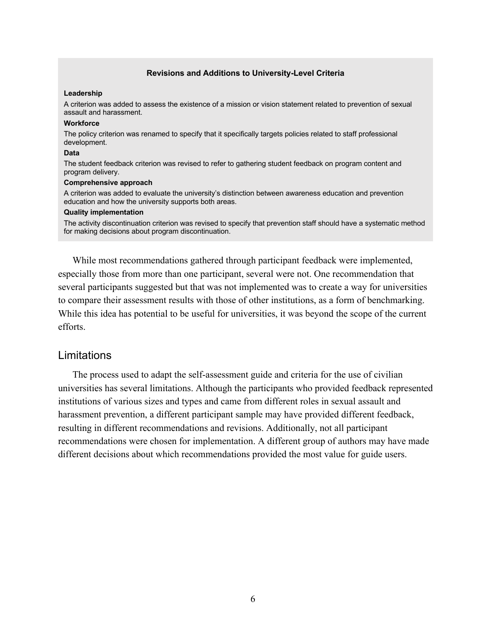#### **Revisions and Additions to University-Level Criteria**

#### **Leadership**

A criterion was added to assess the existence of a mission or vision statement related to prevention of sexual assault and harassment.

#### **Workforce**

The policy criterion was renamed to specify that it specifically targets policies related to staff professional development.

#### **Data**

The student feedback criterion was revised to refer to gathering student feedback on program content and program delivery.

#### **Comprehensive approach**

A criterion was added to evaluate the university's distinction between awareness education and prevention education and how the university supports both areas.

#### **Quality implementation**

The activity discontinuation criterion was revised to specify that prevention staff should have a systematic method for making decisions about program discontinuation.

While most recommendations gathered through participant feedback were implemented, especially those from more than one participant, several were not. One recommendation that several participants suggested but that was not implemented was to create a way for universities to compare their assessment results with those of other institutions, as a form of benchmarking. While this idea has potential to be useful for universities, it was beyond the scope of the current efforts.

#### Limitations

The process used to adapt the self-assessment guide and criteria for the use of civilian universities has several limitations. Although the participants who provided feedback represented institutions of various sizes and types and came from different roles in sexual assault and harassment prevention, a different participant sample may have provided different feedback, resulting in different recommendations and revisions. Additionally, not all participant recommendations were chosen for implementation. A different group of authors may have made different decisions about which recommendations provided the most value for guide users.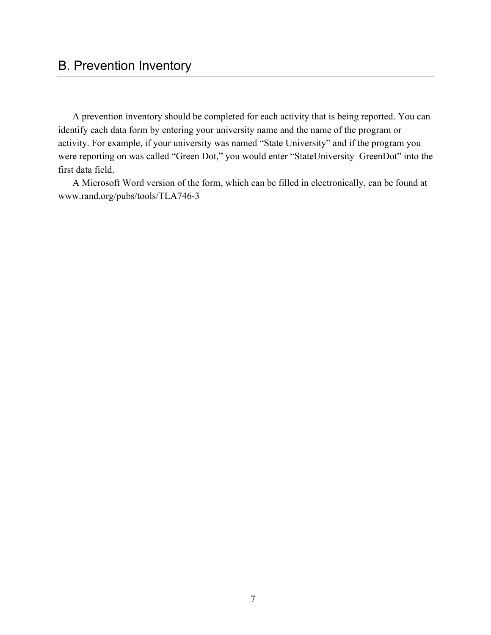# B. Prevention Inventory

A prevention inventory should be completed for each activity that is being reported. You can identify each data form by entering your university name and the name of the program or activity. For example, if your university was named "State University" and if the program you were reporting on was called "Green Dot," you would enter "StateUniversity GreenDot" into the first data field.

A Microsoft Word version of the form, which can be filled in electronically, can be found at [www.rand.org/pubs/tools/TLA746-3](http://www.rand.org/pubs/tools/TLA746-3)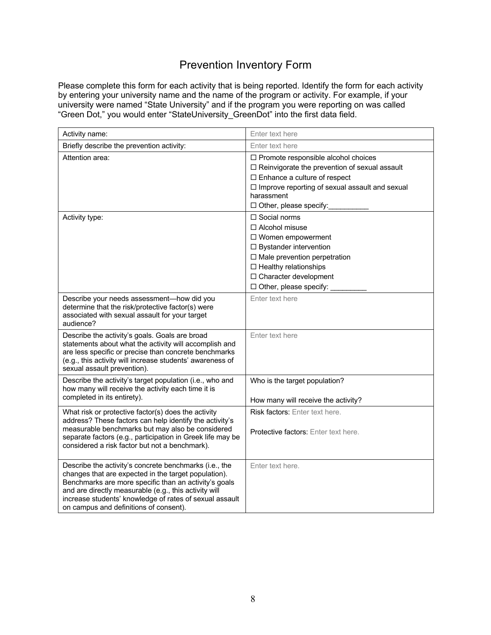# Prevention Inventory Form

Please complete this form for each activity that is being reported. Identify the form for each activity by entering your university name and the name of the program or activity. For example, if your university were named "State University" and if the program you were reporting on was called "Green Dot," you would enter "StateUniversity\_GreenDot" into the first data field.

| Activity name:                                                                                                                                                                                                                                                                                                                        | Enter text here                                                                                                                                                                                                                              |
|---------------------------------------------------------------------------------------------------------------------------------------------------------------------------------------------------------------------------------------------------------------------------------------------------------------------------------------|----------------------------------------------------------------------------------------------------------------------------------------------------------------------------------------------------------------------------------------------|
| Briefly describe the prevention activity:                                                                                                                                                                                                                                                                                             | Enter text here                                                                                                                                                                                                                              |
| Attention area:                                                                                                                                                                                                                                                                                                                       | $\Box$ Promote responsible alcohol choices<br>□ Reinvigorate the prevention of sexual assault<br>$\Box$ Enhance a culture of respect<br>$\Box$ Improve reporting of sexual assault and sexual<br>harassment<br>$\Box$ Other, please specify: |
| Activity type:                                                                                                                                                                                                                                                                                                                        | $\Box$ Social norms<br>$\Box$ Alcohol misuse<br>□ Women empowerment<br>$\Box$ Bystander intervention<br>$\Box$ Male prevention perpetration<br>$\Box$ Healthy relationships<br>□ Character development<br>$\Box$ Other, please specify:      |
| Describe your needs assessment-how did you<br>determine that the risk/protective factor(s) were<br>associated with sexual assault for your target<br>audience?                                                                                                                                                                        | Enter text here                                                                                                                                                                                                                              |
| Describe the activity's goals. Goals are broad<br>statements about what the activity will accomplish and<br>are less specific or precise than concrete benchmarks<br>(e.g., this activity will increase students' awareness of<br>sexual assault prevention).                                                                         | Enter text here                                                                                                                                                                                                                              |
| Describe the activity's target population (i.e., who and<br>how many will receive the activity each time it is<br>completed in its entirety).                                                                                                                                                                                         | Who is the target population?<br>How many will receive the activity?                                                                                                                                                                         |
| What risk or protective factor(s) does the activity<br>address? These factors can help identify the activity's<br>measurable benchmarks but may also be considered<br>separate factors (e.g., participation in Greek life may be<br>considered a risk factor but not a benchmark).                                                    | <b>Risk factors:</b> Enter text here.<br><b>Protective factors:</b> Enter text here.                                                                                                                                                         |
| Describe the activity's concrete benchmarks (i.e., the<br>changes that are expected in the target population).<br>Benchmarks are more specific than an activity's goals<br>and are directly measurable (e.g., this activity will<br>increase students' knowledge of rates of sexual assault<br>on campus and definitions of consent). | Enter text here.                                                                                                                                                                                                                             |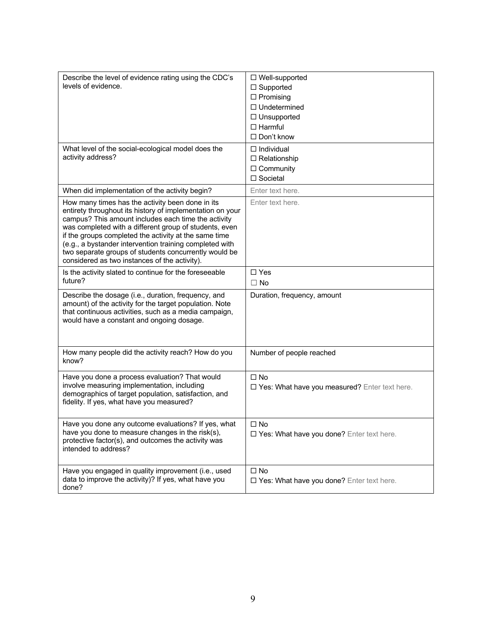| Describe the level of evidence rating using the CDC's<br>levels of evidence.                                                                                                                                                                                                                                                                                                                                                                                 | □ Well-supported<br>$\Box$ Supported<br>$\Box$ Promising<br>$\Box$ Undetermined<br>□ Unsupported<br>$\Box$ Harmful<br>□ Don't know |
|--------------------------------------------------------------------------------------------------------------------------------------------------------------------------------------------------------------------------------------------------------------------------------------------------------------------------------------------------------------------------------------------------------------------------------------------------------------|------------------------------------------------------------------------------------------------------------------------------------|
| What level of the social-ecological model does the<br>activity address?                                                                                                                                                                                                                                                                                                                                                                                      | $\Box$ Individual<br>$\Box$ Relationship<br>$\Box$ Community<br>□ Societal                                                         |
| When did implementation of the activity begin?                                                                                                                                                                                                                                                                                                                                                                                                               | Enter text here.                                                                                                                   |
| How many times has the activity been done in its<br>entirety throughout its history of implementation on your<br>campus? This amount includes each time the activity<br>was completed with a different group of students, even<br>if the groups completed the activity at the same time<br>(e.g., a bystander intervention training completed with<br>two separate groups of students concurrently would be<br>considered as two instances of the activity). | Enter text here.                                                                                                                   |
| Is the activity slated to continue for the foreseeable<br>future?                                                                                                                                                                                                                                                                                                                                                                                            | $\Box$ Yes<br>$\Box$ No                                                                                                            |
| Describe the dosage (i.e., duration, frequency, and<br>amount) of the activity for the target population. Note<br>that continuous activities, such as a media campaign,<br>would have a constant and ongoing dosage.                                                                                                                                                                                                                                         | Duration, frequency, amount                                                                                                        |
| How many people did the activity reach? How do you<br>know?                                                                                                                                                                                                                                                                                                                                                                                                  | Number of people reached                                                                                                           |
| Have you done a process evaluation? That would<br>involve measuring implementation, including<br>demographics of target population, satisfaction, and<br>fidelity. If yes, what have you measured?                                                                                                                                                                                                                                                           | $\square$ No<br>□ Yes: What have you measured? Enter text here.                                                                    |
| Have you done any outcome evaluations? If yes, what<br>have you done to measure changes in the risk(s),<br>protective factor(s), and outcomes the activity was<br>intended to address?                                                                                                                                                                                                                                                                       | $\square$ No<br>□ Yes: What have you done? Enter text here.                                                                        |
| Have you engaged in quality improvement (i.e., used<br>data to improve the activity)? If yes, what have you<br>done?                                                                                                                                                                                                                                                                                                                                         | $\square$ No<br>□ Yes: What have you done? Enter text here.                                                                        |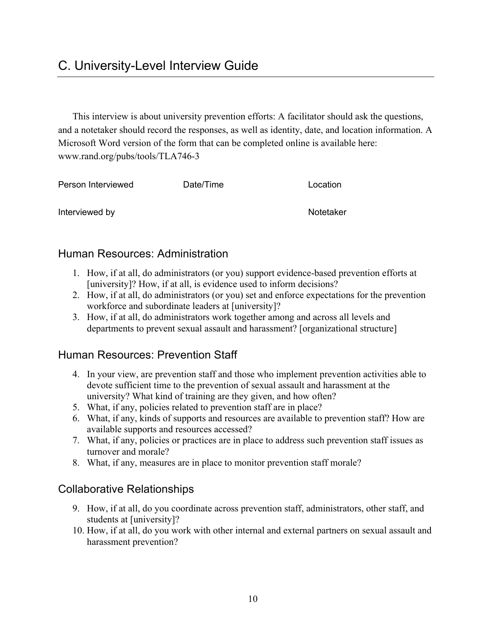This interview is about university prevention efforts: A facilitator should ask the questions, and a notetaker should record the responses, as well as identity, date, and location information. A Microsoft Word version of the form that can be completed online is available here: [www.rand.org/pubs/tools/TLA746-3](http://www.rand.org/pubs/tools/TLA746-3) 

| Person Interviewed | Date/Time | Location  |
|--------------------|-----------|-----------|
| Interviewed by     |           | Notetaker |

# Human Resources: Administration

- 1. How, if at all, do administrators (or you) support evidence-based prevention efforts at [university]? How, if at all, is evidence used to inform decisions?
- 2. How, if at all, do administrators (or you) set and enforce expectations for the prevention workforce and subordinate leaders at [university]?
- 3. How, if at all, do administrators work together among and across all levels and departments to prevent sexual assault and harassment? [organizational structure]

# Human Resources: Prevention Staff

- 4. In your view, are prevention staff and those who implement prevention activities able to devote sufficient time to the prevention of sexual assault and harassment at the university? What kind of training are they given, and how often?
- 5. What, if any, policies related to prevention staff are in place?
- 6. What, if any, kinds of supports and resources are available to prevention staff? How are available supports and resources accessed?
- 7. What, if any, policies or practices are in place to address such prevention staff issues as turnover and morale?
- 8. What, if any, measures are in place to monitor prevention staff morale?

# Collaborative Relationships

- 9. How, if at all, do you coordinate across prevention staff, administrators, other staff, and students at [university]?
- 10. How, if at all, do you work with other internal and external partners on sexual assault and harassment prevention?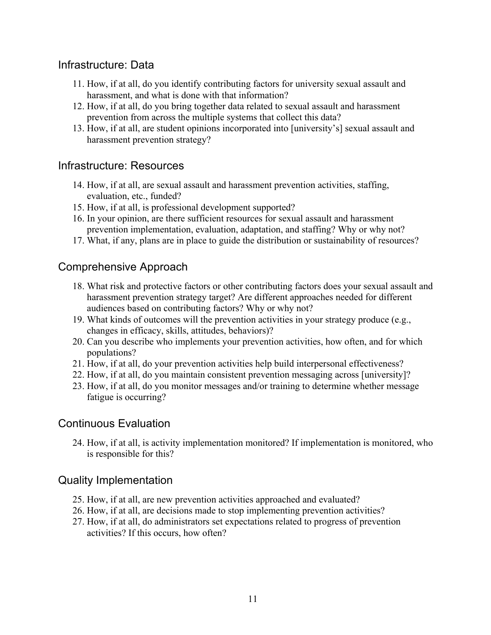# Infrastructure: Data

- 11. How, if at all, do you identify contributing factors for university sexual assault and harassment, and what is done with that information?
- 12. How, if at all, do you bring together data related to sexual assault and harassment prevention from across the multiple systems that collect this data?
- 13. How, if at all, are student opinions incorporated into [university's] sexual assault and harassment prevention strategy?

### Infrastructure: Resources

- 14. How, if at all, are sexual assault and harassment prevention activities, staffing, evaluation, etc., funded?
- 15. How, if at all, is professional development supported?
- 16. In your opinion, are there sufficient resources for sexual assault and harassment prevention implementation, evaluation, adaptation, and staffing? Why or why not?
- 17. What, if any, plans are in place to guide the distribution or sustainability of resources?

### Comprehensive Approach

- 18. What risk and protective factors or other contributing factors does your sexual assault and harassment prevention strategy target? Are different approaches needed for different audiences based on contributing factors? Why or why not?
- 19. What kinds of outcomes will the prevention activities in your strategy produce (e.g., changes in efficacy, skills, attitudes, behaviors)?
- 20. Can you describe who implements your prevention activities, how often, and for which populations?
- 21. How, if at all, do your prevention activities help build interpersonal effectiveness?
- 22. How, if at all, do you maintain consistent prevention messaging across [university]?
- 23. How, if at all, do you monitor messages and/or training to determine whether message fatigue is occurring?

### Continuous Evaluation

24. How, if at all, is activity implementation monitored? If implementation is monitored, who is responsible for this?

## Quality Implementation

- 25. How, if at all, are new prevention activities approached and evaluated?
- 26. How, if at all, are decisions made to stop implementing prevention activities?
- 27. How, if at all, do administrators set expectations related to progress of prevention activities? If this occurs, how often?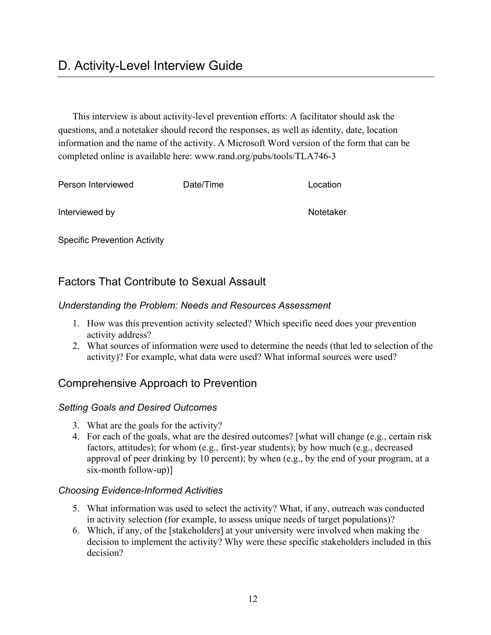This interview is about activity-level prevention efforts: A facilitator should ask the questions, and a notetaker should record the responses, as well as identity, date, location information and the name of the activity. A Microsoft Word version of the form that can be completed online is available here: [www.rand.org/pubs/tools/TLA746-3](http://www.rand.org/pubs/tools/TLA746-3) 

| Person Interviewed | Date/Time | Location  |
|--------------------|-----------|-----------|
| Interviewed by     |           | Notetaker |

Specific Prevention Activity

# Factors That Contribute to Sexual Assault

### *Understanding the Problem: Needs and Resources Assessment*

- 1. How was this prevention activity selected? Which specific need does your prevention activity address?
- 2. What sources of information were used to determine the needs (that led to selection of the activity)? For example, what data were used? What informal sources were used?

## Comprehensive Approach to Prevention

### *Setting Goals and Desired Outcomes*

- 3. What are the goals for the activity?
- 4. For each of the goals, what are the desired outcomes? [what will change (e.g., certain risk factors, attitudes); for whom (e.g., first-year students); by how much (e.g., decreased approval of peer drinking by 10 percent); by when (e.g., by the end of your program, at a six-month follow-up)]

### *Choosing Evidence-Informed Activities*

- 5. What information was used to select the activity? What, if any, outreach was conducted in activity selection (for example, to assess unique needs of target populations)?
- 6. Which, if any, of the [stakeholders] at your university were involved when making the decision to implement the activity? Why were these specific stakeholders included in this decision?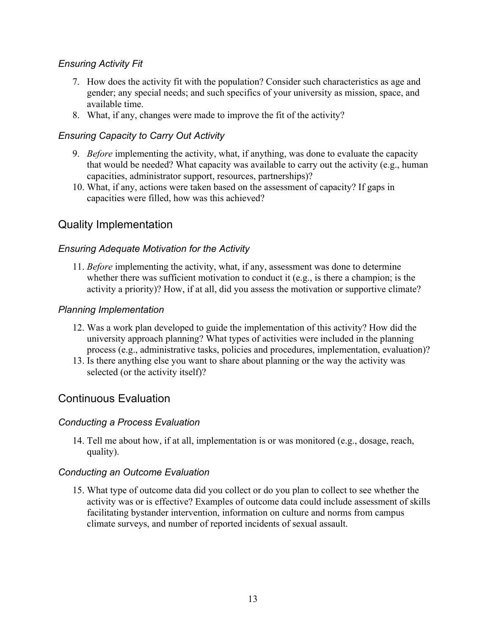### *Ensuring Activity Fit*

- 7. How does the activity fit with the population? Consider such characteristics as age and gender; any special needs; and such specifics of your university as mission, space, and available time.
- 8. What, if any, changes were made to improve the fit of the activity?

### *Ensuring Capacity to Carry Out Activity*

- 9. *Before* implementing the activity, what, if anything, was done to evaluate the capacity that would be needed? What capacity was available to carry out the activity (e.g., human capacities, administrator support, resources, partnerships)?
- 10. What, if any, actions were taken based on the assessment of capacity? If gaps in capacities were filled, how was this achieved?

## Quality Implementation

### *Ensuring Adequate Motivation for the Activity*

11. *Before* implementing the activity, what, if any, assessment was done to determine whether there was sufficient motivation to conduct it (e.g., is there a champion; is the activity a priority)? How, if at all, did you assess the motivation or supportive climate?

### *Planning Implementation*

- 12. Was a work plan developed to guide the implementation of this activity? How did the university approach planning? What types of activities were included in the planning process (e.g., administrative tasks, policies and procedures, implementation, evaluation)?
- 13. Is there anything else you want to share about planning or the way the activity was selected (or the activity itself)?

### Continuous Evaluation

### *Conducting a Process Evaluation*

14. Tell me about how, if at all, implementation is or was monitored (e.g., dosage, reach, quality).

### *Conducting an Outcome Evaluation*

15. What type of outcome data did you collect or do you plan to collect to see whether the activity was or is effective? Examples of outcome data could include assessment of skills facilitating bystander intervention, information on culture and norms from campus climate surveys, and number of reported incidents of sexual assault.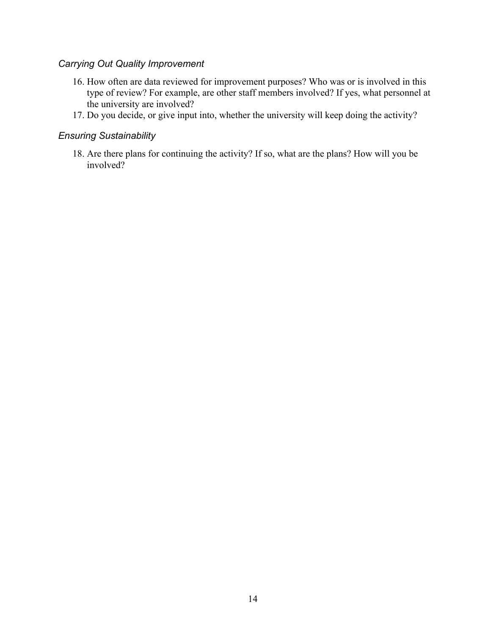#### *Carrying Out Quality Improvement*

- 16. How often are data reviewed for improvement purposes? Who was or is involved in this type of review? For example, are other staff members involved? If yes, what personnel at the university are involved?
- 17. Do you decide, or give input into, whether the university will keep doing the activity?

#### *Ensuring Sustainability*

18. Are there plans for continuing the activity? If so, what are the plans? How will you be involved?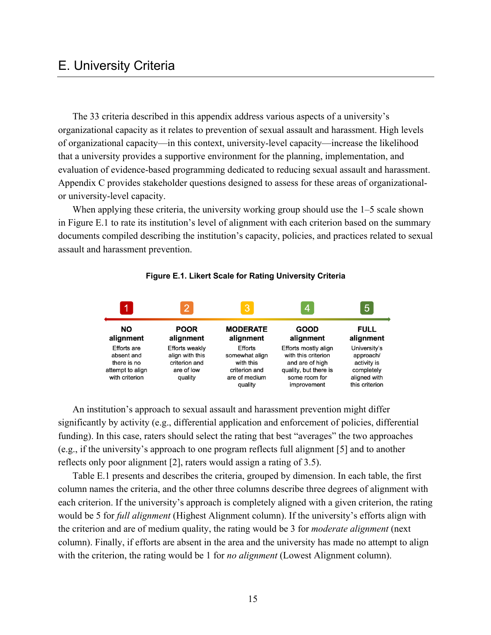# E. University Criteria

The 33 criteria described in this appendix address various aspects of a university's organizational capacity as it relates to prevention of sexual assault and harassment. High levels of organizational capacity—in this context, university-level capacity—increase the likelihood that a university provides a supportive environment for the planning, implementation, and evaluation of evidence-based programming dedicated to reducing sexual assault and harassment. Appendix C provides stakeholder questions designed to assess for these areas of organizationalor university-level capacity.

When applying these criteria, the university working group should use the 1–5 scale shown in Figure E.1 to rate its institution's level of alignment with each criterion based on the summary documents compiled describing the institution's capacity, policies, and practices related to sexual assault and harassment prevention.



#### **Figure E.1. Likert Scale for Rating University Criteria**

An institution's approach to sexual assault and harassment prevention might differ significantly by activity (e.g., differential application and enforcement of policies, differential funding). In this case, raters should select the rating that best "averages" the two approaches (e.g., if the university's approach to one program reflects full alignment [5] and to another reflects only poor alignment [2], raters would assign a rating of 3.5).

Table E.1 presents and describes the criteria, grouped by dimension. In each table, the first column names the criteria, and the other three columns describe three degrees of alignment with each criterion. If the university's approach is completely aligned with a given criterion, the rating would be 5 for *full alignment* (Highest Alignment column). If the university's efforts align with the criterion and are of medium quality, the rating would be 3 for *moderate alignment* (next column). Finally, if efforts are absent in the area and the university has made no attempt to align with the criterion, the rating would be 1 for *no alignment* (Lowest Alignment column).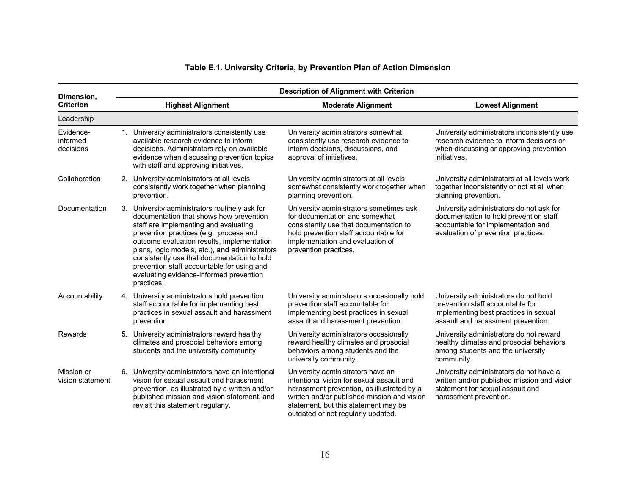| Dimension,                         | <b>Description of Alignment with Criterion</b> |                                                                                                                                                                                                                                                                                                                                                                                                                                     |                                                                                                                                                                                                                                                           |                                                                                                                                                                 |
|------------------------------------|------------------------------------------------|-------------------------------------------------------------------------------------------------------------------------------------------------------------------------------------------------------------------------------------------------------------------------------------------------------------------------------------------------------------------------------------------------------------------------------------|-----------------------------------------------------------------------------------------------------------------------------------------------------------------------------------------------------------------------------------------------------------|-----------------------------------------------------------------------------------------------------------------------------------------------------------------|
| <b>Criterion</b>                   |                                                | <b>Highest Alignment</b>                                                                                                                                                                                                                                                                                                                                                                                                            | <b>Moderate Alignment</b>                                                                                                                                                                                                                                 | <b>Lowest Alignment</b>                                                                                                                                         |
| Leadership                         |                                                |                                                                                                                                                                                                                                                                                                                                                                                                                                     |                                                                                                                                                                                                                                                           |                                                                                                                                                                 |
| Evidence-<br>informed<br>decisions |                                                | 1. University administrators consistently use<br>available research evidence to inform<br>decisions. Administrators rely on available<br>evidence when discussing prevention topics<br>with staff and approving initiatives.                                                                                                                                                                                                        | University administrators somewhat<br>consistently use research evidence to<br>inform decisions, discussions, and<br>approval of initiatives.                                                                                                             | University administrators inconsistently use<br>research evidence to inform decisions or<br>when discussing or approving prevention<br>initiatives.             |
| Collaboration                      |                                                | 2. University administrators at all levels<br>consistently work together when planning<br>prevention.                                                                                                                                                                                                                                                                                                                               | University administrators at all levels<br>somewhat consistently work together when<br>planning prevention.                                                                                                                                               | University administrators at all levels work<br>together inconsistently or not at all when<br>planning prevention.                                              |
| Documentation                      |                                                | 3. University administrators routinely ask for<br>documentation that shows how prevention<br>staff are implementing and evaluating<br>prevention practices (e.g., process and<br>outcome evaluation results, implementation<br>plans, logic models, etc.), and administrators<br>consistently use that documentation to hold<br>prevention staff accountable for using and<br>evaluating evidence-informed prevention<br>practices. | University administrators sometimes ask<br>for documentation and somewhat<br>consistently use that documentation to<br>hold prevention staff accountable for<br>implementation and evaluation of<br>prevention practices.                                 | University administrators do not ask for<br>documentation to hold prevention staff<br>accountable for implementation and<br>evaluation of prevention practices. |
| Accountability                     |                                                | 4. University administrators hold prevention<br>staff accountable for implementing best<br>practices in sexual assault and harassment<br>prevention.                                                                                                                                                                                                                                                                                | University administrators occasionally hold<br>prevention staff accountable for<br>implementing best practices in sexual<br>assault and harassment prevention.                                                                                            | University administrators do not hold<br>prevention staff accountable for<br>implementing best practices in sexual<br>assault and harassment prevention.        |
| <b>Rewards</b>                     |                                                | 5. University administrators reward healthy<br>climates and prosocial behaviors among<br>students and the university community.                                                                                                                                                                                                                                                                                                     | University administrators occasionally<br>reward healthy climates and prosocial<br>behaviors among students and the<br>university community.                                                                                                              | University administrators do not reward<br>healthy climates and prosocial behaviors<br>among students and the university<br>community.                          |
| Mission or<br>vision statement     | 6.                                             | University administrators have an intentional<br>vision for sexual assault and harassment<br>prevention, as illustrated by a written and/or<br>published mission and vision statement, and<br>revisit this statement regularly.                                                                                                                                                                                                     | University administrators have an<br>intentional vision for sexual assault and<br>harassment prevention, as illustrated by a<br>written and/or published mission and vision<br>statement, but this statement may be<br>outdated or not regularly updated. | University administrators do not have a<br>written and/or published mission and vision<br>statement for sexual assault and<br>harassment prevention.            |

#### **Table E.1. University Criteria, by Prevention Plan of Action Dimension**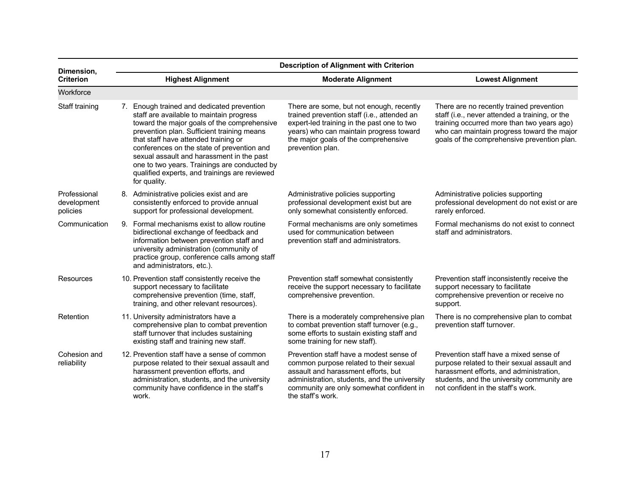| Dimension,                              | <b>Description of Alignment with Criterion</b> |                                                                                                                                                                                                                                                                                                                                                                                                                                         |                                                                                                                                                                                                                                              |                                                                                                                                                                                                                                       |
|-----------------------------------------|------------------------------------------------|-----------------------------------------------------------------------------------------------------------------------------------------------------------------------------------------------------------------------------------------------------------------------------------------------------------------------------------------------------------------------------------------------------------------------------------------|----------------------------------------------------------------------------------------------------------------------------------------------------------------------------------------------------------------------------------------------|---------------------------------------------------------------------------------------------------------------------------------------------------------------------------------------------------------------------------------------|
| <b>Criterion</b>                        |                                                | <b>Highest Alignment</b>                                                                                                                                                                                                                                                                                                                                                                                                                | <b>Moderate Alignment</b>                                                                                                                                                                                                                    | <b>Lowest Alignment</b>                                                                                                                                                                                                               |
| Workforce                               |                                                |                                                                                                                                                                                                                                                                                                                                                                                                                                         |                                                                                                                                                                                                                                              |                                                                                                                                                                                                                                       |
| Staff training                          |                                                | 7. Enough trained and dedicated prevention<br>staff are available to maintain progress<br>toward the major goals of the comprehensive<br>prevention plan. Sufficient training means<br>that staff have attended training or<br>conferences on the state of prevention and<br>sexual assault and harassment in the past<br>one to two years. Trainings are conducted by<br>qualified experts, and trainings are reviewed<br>for quality. | There are some, but not enough, recently<br>trained prevention staff (i.e., attended an<br>expert-led training in the past one to two<br>years) who can maintain progress toward<br>the major goals of the comprehensive<br>prevention plan. | There are no recently trained prevention<br>staff (i.e., never attended a training, or the<br>training occurred more than two years ago)<br>who can maintain progress toward the major<br>goals of the comprehensive prevention plan. |
| Professional<br>development<br>policies |                                                | 8. Administrative policies exist and are<br>consistently enforced to provide annual<br>support for professional development.                                                                                                                                                                                                                                                                                                            | Administrative policies supporting<br>professional development exist but are<br>only somewhat consistently enforced.                                                                                                                         | Administrative policies supporting<br>professional development do not exist or are<br>rarely enforced.                                                                                                                                |
| Communication                           |                                                | 9. Formal mechanisms exist to allow routine<br>bidirectional exchange of feedback and<br>information between prevention staff and<br>university administration (community of<br>practice group, conference calls among staff<br>and administrators, etc.).                                                                                                                                                                              | Formal mechanisms are only sometimes<br>used for communication between<br>prevention staff and administrators.                                                                                                                               | Formal mechanisms do not exist to connect<br>staff and administrators.                                                                                                                                                                |
| Resources                               |                                                | 10. Prevention staff consistently receive the<br>support necessary to facilitate<br>comprehensive prevention (time, staff,<br>training, and other relevant resources).                                                                                                                                                                                                                                                                  | Prevention staff somewhat consistently<br>receive the support necessary to facilitate<br>comprehensive prevention.                                                                                                                           | Prevention staff inconsistently receive the<br>support necessary to facilitate<br>comprehensive prevention or receive no<br>support.                                                                                                  |
| Retention                               |                                                | 11. University administrators have a<br>comprehensive plan to combat prevention<br>staff turnover that includes sustaining<br>existing staff and training new staff.                                                                                                                                                                                                                                                                    | There is a moderately comprehensive plan<br>to combat prevention staff turnover (e.g.,<br>some efforts to sustain existing staff and<br>some training for new staff).                                                                        | There is no comprehensive plan to combat<br>prevention staff turnover.                                                                                                                                                                |
| Cohesion and<br>reliability             |                                                | 12. Prevention staff have a sense of common<br>purpose related to their sexual assault and<br>harassment prevention efforts, and<br>administration, students, and the university<br>community have confidence in the staff's<br>work.                                                                                                                                                                                                   | Prevention staff have a modest sense of<br>common purpose related to their sexual<br>assault and harassment efforts, but<br>administration, students, and the university<br>community are only somewhat confident in<br>the staff's work.    | Prevention staff have a mixed sense of<br>purpose related to their sexual assault and<br>harassment efforts, and administration,<br>students, and the university community are<br>not confident in the staff's work.                  |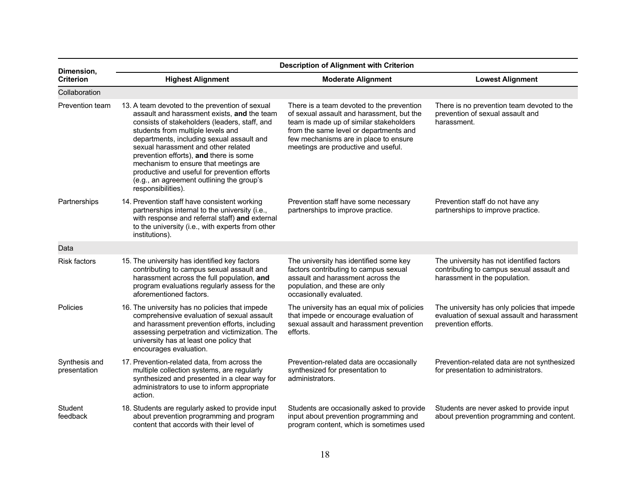| Dimension,                    | <b>Description of Alignment with Criterion</b>                                                                                                                                                                                                                                                                                                                                                                                                                                |                                                                                                                                                                                                                                                             |                                                                                                                         |  |
|-------------------------------|-------------------------------------------------------------------------------------------------------------------------------------------------------------------------------------------------------------------------------------------------------------------------------------------------------------------------------------------------------------------------------------------------------------------------------------------------------------------------------|-------------------------------------------------------------------------------------------------------------------------------------------------------------------------------------------------------------------------------------------------------------|-------------------------------------------------------------------------------------------------------------------------|--|
| <b>Criterion</b>              | <b>Highest Alignment</b>                                                                                                                                                                                                                                                                                                                                                                                                                                                      | <b>Moderate Alignment</b>                                                                                                                                                                                                                                   | <b>Lowest Alignment</b>                                                                                                 |  |
| Collaboration                 |                                                                                                                                                                                                                                                                                                                                                                                                                                                                               |                                                                                                                                                                                                                                                             |                                                                                                                         |  |
| Prevention team               | 13. A team devoted to the prevention of sexual<br>assault and harassment exists, and the team<br>consists of stakeholders (leaders, staff, and<br>students from multiple levels and<br>departments, including sexual assault and<br>sexual harassment and other related<br>prevention efforts), and there is some<br>mechanism to ensure that meetings are<br>productive and useful for prevention efforts<br>(e.g., an agreement outlining the group's<br>responsibilities). | There is a team devoted to the prevention<br>of sexual assault and harassment, but the<br>team is made up of similar stakeholders<br>from the same level or departments and<br>few mechanisms are in place to ensure<br>meetings are productive and useful. | There is no prevention team devoted to the<br>prevention of sexual assault and<br>harassment.                           |  |
| Partnerships                  | 14. Prevention staff have consistent working<br>partnerships internal to the university (i.e.,<br>with response and referral staff) and external<br>to the university (i.e., with experts from other<br>institutions).                                                                                                                                                                                                                                                        | Prevention staff have some necessary<br>partnerships to improve practice.                                                                                                                                                                                   | Prevention staff do not have any<br>partnerships to improve practice.                                                   |  |
| Data                          |                                                                                                                                                                                                                                                                                                                                                                                                                                                                               |                                                                                                                                                                                                                                                             |                                                                                                                         |  |
| <b>Risk factors</b>           | 15. The university has identified key factors<br>contributing to campus sexual assault and<br>harassment across the full population, and<br>program evaluations regularly assess for the<br>aforementioned factors.                                                                                                                                                                                                                                                           | The university has identified some key<br>factors contributing to campus sexual<br>assault and harassment across the<br>population, and these are only<br>occasionally evaluated.                                                                           | The university has not identified factors<br>contributing to campus sexual assault and<br>harassment in the population. |  |
| Policies                      | 16. The university has no policies that impede<br>comprehensive evaluation of sexual assault<br>and harassment prevention efforts, including<br>assessing perpetration and victimization. The<br>university has at least one policy that<br>encourages evaluation.                                                                                                                                                                                                            | The university has an equal mix of policies<br>that impede or encourage evaluation of<br>sexual assault and harassment prevention<br>efforts.                                                                                                               | The university has only policies that impede<br>evaluation of sexual assault and harassment<br>prevention efforts.      |  |
| Synthesis and<br>presentation | 17. Prevention-related data, from across the<br>multiple collection systems, are regularly<br>synthesized and presented in a clear way for<br>administrators to use to inform appropriate<br>action.                                                                                                                                                                                                                                                                          | Prevention-related data are occasionally<br>synthesized for presentation to<br>administrators.                                                                                                                                                              | Prevention-related data are not synthesized<br>for presentation to administrators.                                      |  |
| Student<br>feedback           | 18. Students are regularly asked to provide input<br>about prevention programming and program<br>content that accords with their level of                                                                                                                                                                                                                                                                                                                                     | Students are occasionally asked to provide<br>input about prevention programming and<br>program content, which is sometimes used                                                                                                                            | Students are never asked to provide input<br>about prevention programming and content.                                  |  |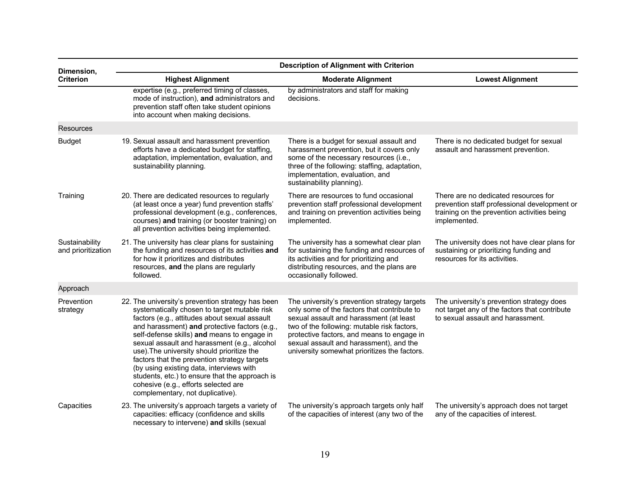| Dimension,                           | <b>Description of Alignment with Criterion</b>                                                                                                                                                                                                                                                                                                                                                                                                                                                                                                                             |                                                                                                                                                                                                                                                                                                                                |                                                                                                                                                     |  |
|--------------------------------------|----------------------------------------------------------------------------------------------------------------------------------------------------------------------------------------------------------------------------------------------------------------------------------------------------------------------------------------------------------------------------------------------------------------------------------------------------------------------------------------------------------------------------------------------------------------------------|--------------------------------------------------------------------------------------------------------------------------------------------------------------------------------------------------------------------------------------------------------------------------------------------------------------------------------|-----------------------------------------------------------------------------------------------------------------------------------------------------|--|
| <b>Criterion</b>                     | <b>Highest Alignment</b>                                                                                                                                                                                                                                                                                                                                                                                                                                                                                                                                                   | <b>Moderate Alignment</b>                                                                                                                                                                                                                                                                                                      | <b>Lowest Alignment</b>                                                                                                                             |  |
|                                      | expertise (e.g., preferred timing of classes,<br>mode of instruction), and administrators and<br>prevention staff often take student opinions<br>into account when making decisions.                                                                                                                                                                                                                                                                                                                                                                                       | by administrators and staff for making<br>decisions.                                                                                                                                                                                                                                                                           |                                                                                                                                                     |  |
| <b>Resources</b>                     |                                                                                                                                                                                                                                                                                                                                                                                                                                                                                                                                                                            |                                                                                                                                                                                                                                                                                                                                |                                                                                                                                                     |  |
| <b>Budget</b>                        | 19. Sexual assault and harassment prevention<br>efforts have a dedicated budget for staffing,<br>adaptation, implementation, evaluation, and<br>sustainability planning.                                                                                                                                                                                                                                                                                                                                                                                                   | There is a budget for sexual assault and<br>harassment prevention, but it covers only<br>some of the necessary resources (i.e.,<br>three of the following: staffing, adaptation,<br>implementation, evaluation, and<br>sustainability planning).                                                                               | There is no dedicated budget for sexual<br>assault and harassment prevention.                                                                       |  |
| Training                             | 20. There are dedicated resources to regularly<br>(at least once a year) fund prevention staffs'<br>professional development (e.g., conferences,<br>courses) and training (or booster training) on<br>all prevention activities being implemented.                                                                                                                                                                                                                                                                                                                         | There are resources to fund occasional<br>prevention staff professional development<br>and training on prevention activities being<br>implemented.                                                                                                                                                                             | There are no dedicated resources for<br>prevention staff professional development or<br>training on the prevention activities being<br>implemented. |  |
| Sustainability<br>and prioritization | 21. The university has clear plans for sustaining<br>the funding and resources of its activities and<br>for how it prioritizes and distributes<br>resources, and the plans are regularly<br>followed.                                                                                                                                                                                                                                                                                                                                                                      | The university has a somewhat clear plan<br>for sustaining the funding and resources of<br>its activities and for prioritizing and<br>distributing resources, and the plans are<br>occasionally followed.                                                                                                                      | The university does not have clear plans for<br>sustaining or prioritizing funding and<br>resources for its activities.                             |  |
| Approach                             |                                                                                                                                                                                                                                                                                                                                                                                                                                                                                                                                                                            |                                                                                                                                                                                                                                                                                                                                |                                                                                                                                                     |  |
| Prevention<br>strategy               | 22. The university's prevention strategy has been<br>systematically chosen to target mutable risk<br>factors (e.g., attitudes about sexual assault<br>and harassment) and protective factors (e.g.,<br>self-defense skills) and means to engage in<br>sexual assault and harassment (e.g., alcohol<br>use). The university should prioritize the<br>factors that the prevention strategy targets<br>(by using existing data, interviews with<br>students, etc.) to ensure that the approach is<br>cohesive (e.g., efforts selected are<br>complementary, not duplicative). | The university's prevention strategy targets<br>only some of the factors that contribute to<br>sexual assault and harassment (at least<br>two of the following: mutable risk factors,<br>protective factors, and means to engage in<br>sexual assault and harassment), and the<br>university somewhat prioritizes the factors. | The university's prevention strategy does<br>not target any of the factors that contribute<br>to sexual assault and harassment.                     |  |
| Capacities                           | 23. The university's approach targets a variety of<br>capacities: efficacy (confidence and skills<br>necessary to intervene) and skills (sexual                                                                                                                                                                                                                                                                                                                                                                                                                            | The university's approach targets only half<br>of the capacities of interest (any two of the                                                                                                                                                                                                                                   | The university's approach does not target<br>any of the capacities of interest.                                                                     |  |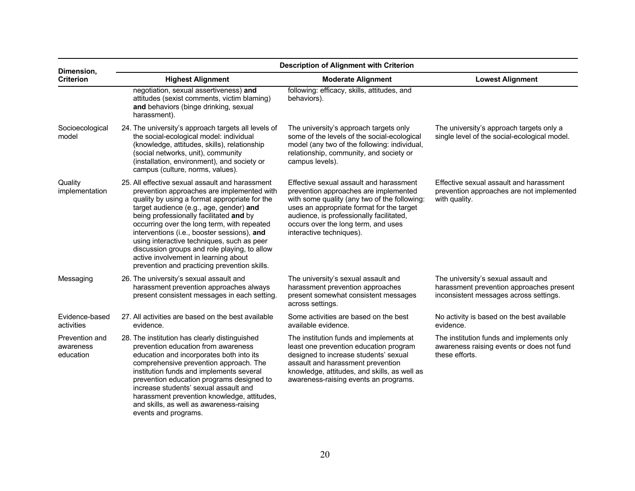| Dimension,                               | <b>Description of Alignment with Criterion</b>                                                                                                                                                                                                                                                                                                                                                                                                                                                                           |                                                                                                                                                                                                                                                                                              |                                                                                                                           |  |  |  |
|------------------------------------------|--------------------------------------------------------------------------------------------------------------------------------------------------------------------------------------------------------------------------------------------------------------------------------------------------------------------------------------------------------------------------------------------------------------------------------------------------------------------------------------------------------------------------|----------------------------------------------------------------------------------------------------------------------------------------------------------------------------------------------------------------------------------------------------------------------------------------------|---------------------------------------------------------------------------------------------------------------------------|--|--|--|
| <b>Criterion</b>                         | <b>Highest Alignment</b>                                                                                                                                                                                                                                                                                                                                                                                                                                                                                                 | <b>Moderate Alignment</b>                                                                                                                                                                                                                                                                    | <b>Lowest Alignment</b>                                                                                                   |  |  |  |
|                                          | negotiation, sexual assertiveness) and<br>attitudes (sexist comments, victim blaming)<br>and behaviors (binge drinking, sexual<br>harassment).                                                                                                                                                                                                                                                                                                                                                                           | following: efficacy, skills, attitudes, and<br>behaviors).                                                                                                                                                                                                                                   |                                                                                                                           |  |  |  |
| Socioecological<br>model                 | 24. The university's approach targets all levels of<br>the social-ecological model: individual<br>(knowledge, attitudes, skills), relationship<br>(social networks, unit), community<br>(installation, environment), and society or<br>campus (culture, norms, values).                                                                                                                                                                                                                                                  | The university's approach targets only<br>some of the levels of the social-ecological<br>model (any two of the following: individual,<br>relationship, community, and society or<br>campus levels).                                                                                          | The university's approach targets only a<br>single level of the social-ecological model.                                  |  |  |  |
| Quality<br>implementation                | 25. All effective sexual assault and harassment<br>prevention approaches are implemented with<br>quality by using a format appropriate for the<br>target audience (e.g., age, gender) and<br>being professionally facilitated and by<br>occurring over the long term, with repeated<br>interventions (i.e., booster sessions), and<br>using interactive techniques, such as peer<br>discussion groups and role playing, to allow<br>active involvement in learning about<br>prevention and practicing prevention skills. | Effective sexual assault and harassment<br>prevention approaches are implemented<br>with some quality (any two of the following:<br>uses an appropriate format for the target<br>audience, is professionally facilitated,<br>occurs over the long term, and uses<br>interactive techniques). | Effective sexual assault and harassment<br>prevention approaches are not implemented<br>with quality.                     |  |  |  |
| Messaging                                | 26. The university's sexual assault and<br>harassment prevention approaches always<br>present consistent messages in each setting.                                                                                                                                                                                                                                                                                                                                                                                       | The university's sexual assault and<br>harassment prevention approaches<br>present somewhat consistent messages<br>across settings.                                                                                                                                                          | The university's sexual assault and<br>harassment prevention approaches present<br>inconsistent messages across settings. |  |  |  |
| Evidence-based<br>activities             | 27. All activities are based on the best available<br>evidence.                                                                                                                                                                                                                                                                                                                                                                                                                                                          | Some activities are based on the best<br>available evidence.                                                                                                                                                                                                                                 | No activity is based on the best available<br>evidence.                                                                   |  |  |  |
| Prevention and<br>awareness<br>education | 28. The institution has clearly distinguished<br>prevention education from awareness<br>education and incorporates both into its<br>comprehensive prevention approach. The<br>institution funds and implements several<br>prevention education programs designed to<br>increase students' sexual assault and<br>harassment prevention knowledge, attitudes,<br>and skills, as well as awareness-raising<br>events and programs.                                                                                          | The institution funds and implements at<br>least one prevention education program<br>designed to increase students' sexual<br>assault and harassment prevention<br>knowledge, attitudes, and skills, as well as<br>awareness-raising events an programs.                                     | The institution funds and implements only<br>awareness raising events or does not fund<br>these efforts.                  |  |  |  |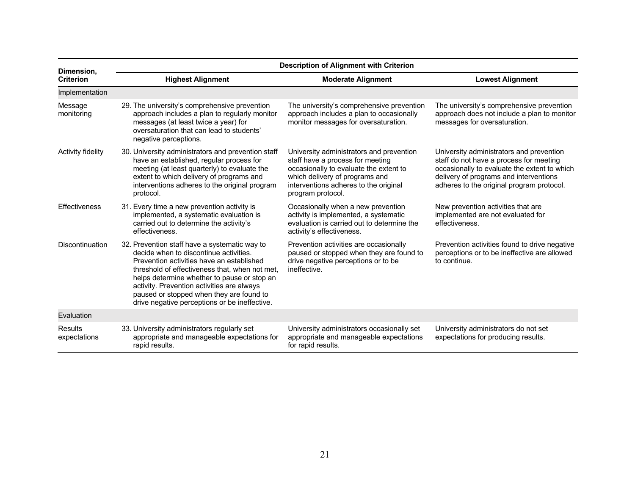| Dimension,              | <b>Description of Alignment with Criterion</b>                                                                                                                                                                                                                                                                                                                                   |                                                                                                                                                                                                                        |                                                                                                                                                                                                                            |  |  |  |
|-------------------------|----------------------------------------------------------------------------------------------------------------------------------------------------------------------------------------------------------------------------------------------------------------------------------------------------------------------------------------------------------------------------------|------------------------------------------------------------------------------------------------------------------------------------------------------------------------------------------------------------------------|----------------------------------------------------------------------------------------------------------------------------------------------------------------------------------------------------------------------------|--|--|--|
| <b>Criterion</b>        | <b>Highest Alignment</b>                                                                                                                                                                                                                                                                                                                                                         | <b>Lowest Alignment</b>                                                                                                                                                                                                |                                                                                                                                                                                                                            |  |  |  |
| Implementation          |                                                                                                                                                                                                                                                                                                                                                                                  |                                                                                                                                                                                                                        |                                                                                                                                                                                                                            |  |  |  |
| Message<br>monitoring   | 29. The university's comprehensive prevention<br>approach includes a plan to regularly monitor<br>messages (at least twice a year) for<br>oversaturation that can lead to students'<br>negative perceptions.                                                                                                                                                                     | The university's comprehensive prevention<br>approach includes a plan to occasionally<br>monitor messages for oversaturation.                                                                                          | The university's comprehensive prevention<br>approach does not include a plan to monitor<br>messages for oversaturation.                                                                                                   |  |  |  |
| Activity fidelity       | 30. University administrators and prevention staff<br>have an established, regular process for<br>meeting (at least quarterly) to evaluate the<br>extent to which delivery of programs and<br>interventions adheres to the original program<br>protocol.                                                                                                                         | University administrators and prevention<br>staff have a process for meeting<br>occasionally to evaluate the extent to<br>which delivery of programs and<br>interventions adheres to the original<br>program protocol. | University administrators and prevention<br>staff do not have a process for meeting<br>occasionally to evaluate the extent to which<br>delivery of programs and interventions<br>adheres to the original program protocol. |  |  |  |
| <b>Effectiveness</b>    | 31. Every time a new prevention activity is<br>implemented, a systematic evaluation is<br>carried out to determine the activity's<br>effectiveness.                                                                                                                                                                                                                              | Occasionally when a new prevention<br>activity is implemented, a systematic<br>evaluation is carried out to determine the<br>activity's effectiveness.                                                                 | New prevention activities that are<br>implemented are not evaluated for<br>effectiveness.                                                                                                                                  |  |  |  |
| Discontinuation         | 32. Prevention staff have a systematic way to<br>decide when to discontinue activities.<br>Prevention activities have an established<br>threshold of effectiveness that, when not met,<br>helps determine whether to pause or stop an<br>activity. Prevention activities are always<br>paused or stopped when they are found to<br>drive negative perceptions or be ineffective. | Prevention activities are occasionally<br>paused or stopped when they are found to<br>drive negative perceptions or to be<br>ineffective.                                                                              | Prevention activities found to drive negative<br>perceptions or to be ineffective are allowed<br>to continue.                                                                                                              |  |  |  |
| Evaluation              |                                                                                                                                                                                                                                                                                                                                                                                  |                                                                                                                                                                                                                        |                                                                                                                                                                                                                            |  |  |  |
| Results<br>expectations | 33. University administrators regularly set<br>appropriate and manageable expectations for<br>rapid results.                                                                                                                                                                                                                                                                     | University administrators occasionally set<br>appropriate and manageable expectations<br>for rapid results.                                                                                                            | University administrators do not set<br>expectations for producing results.                                                                                                                                                |  |  |  |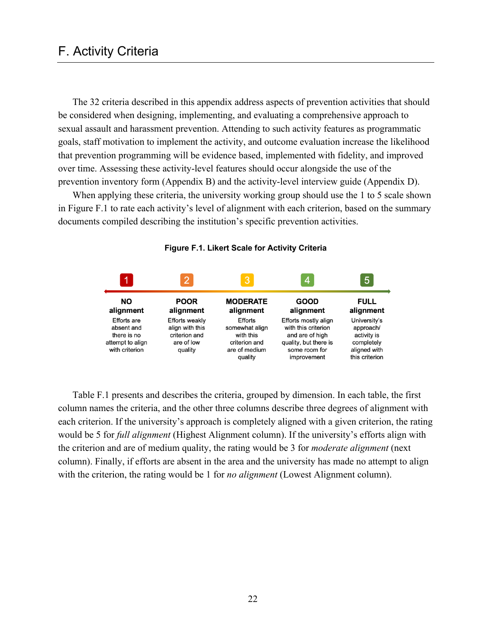# F. Activity Criteria

The 32 criteria described in this appendix address aspects of prevention activities that should be considered when designing, implementing, and evaluating a comprehensive approach to sexual assault and harassment prevention. Attending to such activity features as programmatic goals, staff motivation to implement the activity, and outcome evaluation increase the likelihood that prevention programming will be evidence based, implemented with fidelity, and improved over time. Assessing these activity-level features should occur alongside the use of the prevention inventory form (Appendix B) and the activity-level interview guide (Appendix D).

When applying these criteria, the university working group should use the 1 to 5 scale shown in Figure F.1 to rate each activity's level of alignment with each criterion, based on the summary documents compiled describing the institution's specific prevention activities.





Table F.1 presents and describes the criteria, grouped by dimension. In each table, the first column names the criteria, and the other three columns describe three degrees of alignment with each criterion. If the university's approach is completely aligned with a given criterion, the rating would be 5 for *full alignment* (Highest Alignment column). If the university's efforts align with the criterion and are of medium quality, the rating would be 3 for *moderate alignment* (next column). Finally, if efforts are absent in the area and the university has made no attempt to align with the criterion, the rating would be 1 for *no alignment* (Lowest Alignment column).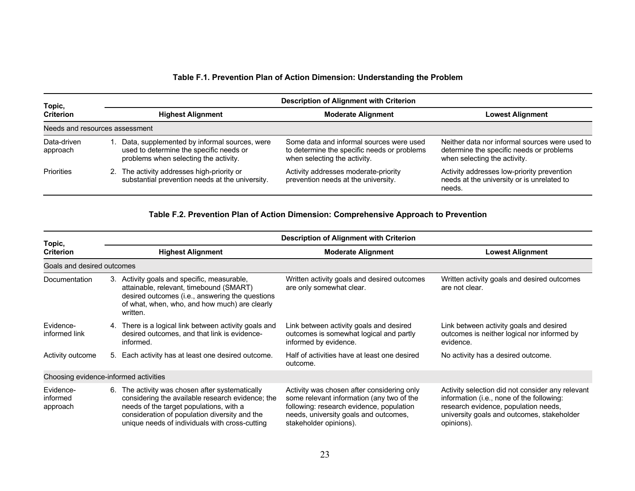### **Table F.1. Prevention Plan of Action Dimension: Understanding the Problem**

| Topic,                         | <b>Description of Alignment with Criterion</b> |                                                                                                                                  |                                                                                                                         |                                                                                                                            |  |
|--------------------------------|------------------------------------------------|----------------------------------------------------------------------------------------------------------------------------------|-------------------------------------------------------------------------------------------------------------------------|----------------------------------------------------------------------------------------------------------------------------|--|
| <b>Criterion</b>               |                                                | <b>Highest Alignment</b>                                                                                                         | <b>Moderate Alignment</b>                                                                                               | <b>Lowest Alignment</b>                                                                                                    |  |
| Needs and resources assessment |                                                |                                                                                                                                  |                                                                                                                         |                                                                                                                            |  |
| Data-driven<br>approach        |                                                | Data, supplemented by informal sources, were<br>used to determine the specific needs or<br>problems when selecting the activity. | Some data and informal sources were used<br>to determine the specific needs or problems<br>when selecting the activity. | Neither data nor informal sources were used to<br>determine the specific needs or problems<br>when selecting the activity. |  |
| Priorities                     |                                                | 2. The activity addresses high-priority or<br>substantial prevention needs at the university.                                    | Activity addresses moderate-priority<br>prevention needs at the university.                                             | Activity addresses low-priority prevention<br>needs at the university or is unrelated to<br>needs.                         |  |

#### **Table F.2. Prevention Plan of Action Dimension: Comprehensive Approach to Prevention**

| Topic,                                | <b>Description of Alignment with Criterion</b> |                                                                                                                                                                                                                                                |                                                                                                                                                                                                        |                                                                                                                                                                                                   |  |  |
|---------------------------------------|------------------------------------------------|------------------------------------------------------------------------------------------------------------------------------------------------------------------------------------------------------------------------------------------------|--------------------------------------------------------------------------------------------------------------------------------------------------------------------------------------------------------|---------------------------------------------------------------------------------------------------------------------------------------------------------------------------------------------------|--|--|
| <b>Criterion</b>                      |                                                | <b>Highest Alignment</b>                                                                                                                                                                                                                       | <b>Moderate Alignment</b>                                                                                                                                                                              | <b>Lowest Alignment</b>                                                                                                                                                                           |  |  |
| Goals and desired outcomes            |                                                |                                                                                                                                                                                                                                                |                                                                                                                                                                                                        |                                                                                                                                                                                                   |  |  |
| Documentation                         | 3.                                             | Activity goals and specific, measurable,<br>attainable, relevant, timebound (SMART)<br>desired outcomes (i.e., answering the questions<br>of what, when, who, and how much) are clearly<br>written.                                            | Written activity goals and desired outcomes<br>are only somewhat clear.                                                                                                                                | Written activity goals and desired outcomes<br>are not clear.                                                                                                                                     |  |  |
| Evidence-<br>informed link            |                                                | 4. There is a logical link between activity goals and<br>desired outcomes, and that link is evidence-<br>informed.                                                                                                                             | Link between activity goals and desired<br>outcomes is somewhat logical and partly<br>informed by evidence.                                                                                            | Link between activity goals and desired<br>outcomes is neither logical nor informed by<br>evidence.                                                                                               |  |  |
| Activity outcome                      |                                                | 5. Each activity has at least one desired outcome.                                                                                                                                                                                             | Half of activities have at least one desired<br>outcome.                                                                                                                                               | No activity has a desired outcome.                                                                                                                                                                |  |  |
| Choosing evidence-informed activities |                                                |                                                                                                                                                                                                                                                |                                                                                                                                                                                                        |                                                                                                                                                                                                   |  |  |
| Evidence-<br>informed<br>approach     | 6.                                             | The activity was chosen after systematically<br>considering the available research evidence; the<br>needs of the target populations, with a<br>consideration of population diversity and the<br>unique needs of individuals with cross-cutting | Activity was chosen after considering only<br>some relevant information (any two of the<br>following: research evidence, population<br>needs, university goals and outcomes,<br>stakeholder opinions). | Activity selection did not consider any relevant<br>information (i.e., none of the following:<br>research evidence, population needs,<br>university goals and outcomes, stakeholder<br>opinions). |  |  |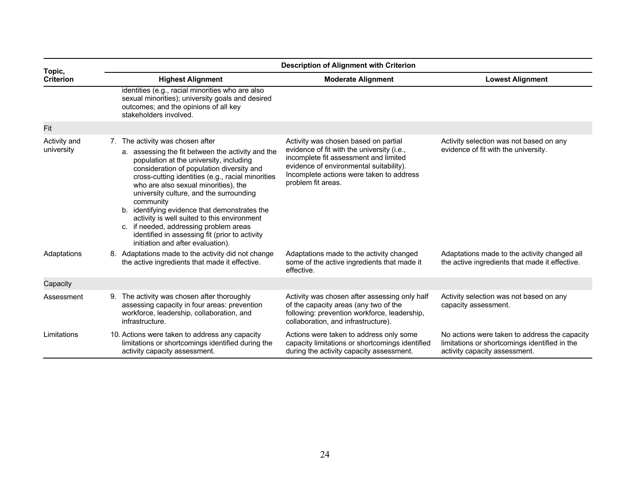| Topic,                     | <b>Description of Alignment with Criterion</b>                                                                                                                                                                                                                                                                                                                                                                                                                                                                                                                      |                                                                                                                                                                                                                                          |                                                                                                                                 |  |  |  |
|----------------------------|---------------------------------------------------------------------------------------------------------------------------------------------------------------------------------------------------------------------------------------------------------------------------------------------------------------------------------------------------------------------------------------------------------------------------------------------------------------------------------------------------------------------------------------------------------------------|------------------------------------------------------------------------------------------------------------------------------------------------------------------------------------------------------------------------------------------|---------------------------------------------------------------------------------------------------------------------------------|--|--|--|
| <b>Criterion</b>           | <b>Highest Alignment</b>                                                                                                                                                                                                                                                                                                                                                                                                                                                                                                                                            | <b>Moderate Alignment</b>                                                                                                                                                                                                                | <b>Lowest Alignment</b>                                                                                                         |  |  |  |
|                            | identities (e.g., racial minorities who are also<br>sexual minorities); university goals and desired<br>outcomes; and the opinions of all key<br>stakeholders involved.                                                                                                                                                                                                                                                                                                                                                                                             |                                                                                                                                                                                                                                          |                                                                                                                                 |  |  |  |
| Fit                        |                                                                                                                                                                                                                                                                                                                                                                                                                                                                                                                                                                     |                                                                                                                                                                                                                                          |                                                                                                                                 |  |  |  |
| Activity and<br>university | 7. The activity was chosen after<br>a. assessing the fit between the activity and the<br>population at the university, including<br>consideration of population diversity and<br>cross-cutting identities (e.g., racial minorities<br>who are also sexual minorities), the<br>university culture, and the surrounding<br>community<br>b. identifying evidence that demonstrates the<br>activity is well suited to this environment<br>c. if needed, addressing problem areas<br>identified in assessing fit (prior to activity<br>initiation and after evaluation). | Activity was chosen based on partial<br>evidence of fit with the university (i.e.,<br>incomplete fit assessment and limited<br>evidence of environmental suitability).<br>Incomplete actions were taken to address<br>problem fit areas. | Activity selection was not based on any<br>evidence of fit with the university.                                                 |  |  |  |
| Adaptations                | 8. Adaptations made to the activity did not change<br>the active ingredients that made it effective.                                                                                                                                                                                                                                                                                                                                                                                                                                                                | Adaptations made to the activity changed<br>some of the active ingredients that made it<br>effective.                                                                                                                                    | Adaptations made to the activity changed all<br>the active ingredients that made it effective.                                  |  |  |  |
| Capacity                   |                                                                                                                                                                                                                                                                                                                                                                                                                                                                                                                                                                     |                                                                                                                                                                                                                                          |                                                                                                                                 |  |  |  |
| Assessment                 | 9. The activity was chosen after thoroughly<br>assessing capacity in four areas: prevention<br>workforce, leadership, collaboration, and<br>infrastructure.                                                                                                                                                                                                                                                                                                                                                                                                         | Activity was chosen after assessing only half<br>of the capacity areas (any two of the<br>following: prevention workforce, leadership,<br>collaboration, and infrastructure).                                                            | Activity selection was not based on any<br>capacity assessment.                                                                 |  |  |  |
| Limitations                | 10. Actions were taken to address any capacity<br>limitations or shortcomings identified during the<br>activity capacity assessment.                                                                                                                                                                                                                                                                                                                                                                                                                                | Actions were taken to address only some<br>capacity limitations or shortcomings identified<br>during the activity capacity assessment.                                                                                                   | No actions were taken to address the capacity<br>limitations or shortcomings identified in the<br>activity capacity assessment. |  |  |  |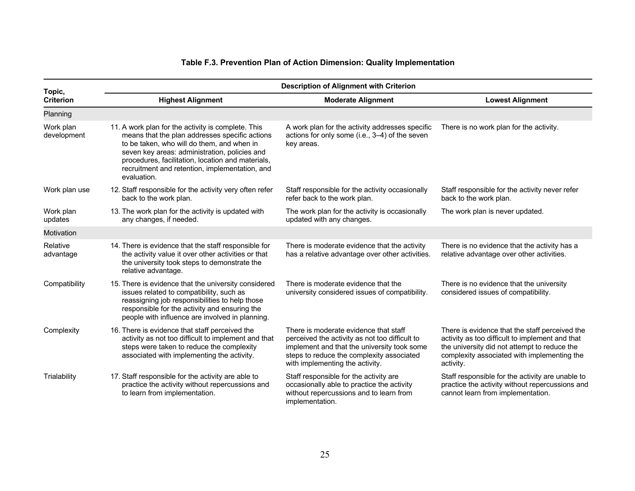#### **Table F.3. Prevention Plan of Action Dimension: Quality Implementation**

| Topic,                   | <b>Description of Alignment with Criterion</b>                                                                                                                                                                                                                                                                            |                                                                                                                                                                                                                        |                                                                                                                                                                                                               |  |  |
|--------------------------|---------------------------------------------------------------------------------------------------------------------------------------------------------------------------------------------------------------------------------------------------------------------------------------------------------------------------|------------------------------------------------------------------------------------------------------------------------------------------------------------------------------------------------------------------------|---------------------------------------------------------------------------------------------------------------------------------------------------------------------------------------------------------------|--|--|
| <b>Criterion</b>         | <b>Highest Alignment</b>                                                                                                                                                                                                                                                                                                  | <b>Moderate Alignment</b>                                                                                                                                                                                              | <b>Lowest Alignment</b>                                                                                                                                                                                       |  |  |
| Planning                 |                                                                                                                                                                                                                                                                                                                           |                                                                                                                                                                                                                        |                                                                                                                                                                                                               |  |  |
| Work plan<br>development | 11. A work plan for the activity is complete. This<br>means that the plan addresses specific actions<br>to be taken, who will do them, and when in<br>seven key areas: administration, policies and<br>procedures, facilitation, location and materials,<br>recruitment and retention, implementation, and<br>evaluation. | A work plan for the activity addresses specific<br>actions for only some (i.e., 3-4) of the seven<br>key areas.                                                                                                        | There is no work plan for the activity.                                                                                                                                                                       |  |  |
| Work plan use            | 12. Staff responsible for the activity very often refer<br>back to the work plan.                                                                                                                                                                                                                                         | Staff responsible for the activity occasionally<br>refer back to the work plan.                                                                                                                                        | Staff responsible for the activity never refer<br>back to the work plan.                                                                                                                                      |  |  |
| Work plan<br>updates     | 13. The work plan for the activity is updated with<br>any changes, if needed.                                                                                                                                                                                                                                             | The work plan for the activity is occasionally<br>updated with any changes.                                                                                                                                            | The work plan is never updated.                                                                                                                                                                               |  |  |
| Motivation               |                                                                                                                                                                                                                                                                                                                           |                                                                                                                                                                                                                        |                                                                                                                                                                                                               |  |  |
| Relative<br>advantage    | 14. There is evidence that the staff responsible for<br>the activity value it over other activities or that<br>the university took steps to demonstrate the<br>relative advantage.                                                                                                                                        | There is moderate evidence that the activity<br>has a relative advantage over other activities.                                                                                                                        | There is no evidence that the activity has a<br>relative advantage over other activities.                                                                                                                     |  |  |
| Compatibility            | 15. There is evidence that the university considered<br>issues related to compatibility, such as<br>reassigning job responsibilities to help those<br>responsible for the activity and ensuring the<br>people with influence are involved in planning.                                                                    | There is moderate evidence that the<br>university considered issues of compatibility.                                                                                                                                  | There is no evidence that the university<br>considered issues of compatibility.                                                                                                                               |  |  |
| Complexity               | 16. There is evidence that staff perceived the<br>activity as not too difficult to implement and that<br>steps were taken to reduce the complexity<br>associated with implementing the activity.                                                                                                                          | There is moderate evidence that staff<br>perceived the activity as not too difficult to<br>implement and that the university took some<br>steps to reduce the complexity associated<br>with implementing the activity. | There is evidence that the staff perceived the<br>activity as too difficult to implement and that<br>the university did not attempt to reduce the<br>complexity associated with implementing the<br>activity. |  |  |
| Trialability             | 17. Staff responsible for the activity are able to<br>practice the activity without repercussions and<br>to learn from implementation.                                                                                                                                                                                    | Staff responsible for the activity are<br>occasionally able to practice the activity<br>without repercussions and to learn from<br>implementation.                                                                     | Staff responsible for the activity are unable to<br>practice the activity without repercussions and<br>cannot learn from implementation.                                                                      |  |  |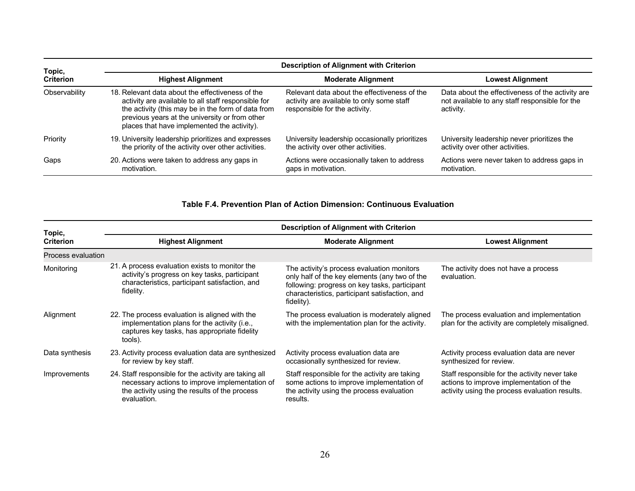| Topic,           | <b>Description of Alignment with Criterion</b>                                                                                                                                                                                                                 |                                                                                                                            |                                                                                                                 |  |  |  |
|------------------|----------------------------------------------------------------------------------------------------------------------------------------------------------------------------------------------------------------------------------------------------------------|----------------------------------------------------------------------------------------------------------------------------|-----------------------------------------------------------------------------------------------------------------|--|--|--|
| <b>Criterion</b> | <b>Highest Alignment</b>                                                                                                                                                                                                                                       | <b>Moderate Alignment</b>                                                                                                  | <b>Lowest Alignment</b>                                                                                         |  |  |  |
| Observability    | 18. Relevant data about the effectiveness of the<br>activity are available to all staff responsible for<br>the activity (this may be in the form of data from<br>previous years at the university or from other<br>places that have implemented the activity). | Relevant data about the effectiveness of the<br>activity are available to only some staff<br>responsible for the activity. | Data about the effectiveness of the activity are<br>not available to any staff responsible for the<br>activity. |  |  |  |
| Priority         | 19. University leadership prioritizes and expresses<br>the priority of the activity over other activities.                                                                                                                                                     | University leadership occasionally prioritizes<br>the activity over other activities.                                      | University leadership never prioritizes the<br>activity over other activities.                                  |  |  |  |
| Gaps             | 20. Actions were taken to address any gaps in<br>motivation.                                                                                                                                                                                                   | Actions were occasionally taken to address<br>gaps in motivation.                                                          | Actions were never taken to address gaps in<br>motivation.                                                      |  |  |  |

### **Table F.4. Prevention Plan of Action Dimension: Continuous Evaluation**

| Topic,             | <b>Description of Alignment with Criterion</b>                                                                                                                          |                                                                                                                                                                                                              |                                                                                                                                             |  |  |  |
|--------------------|-------------------------------------------------------------------------------------------------------------------------------------------------------------------------|--------------------------------------------------------------------------------------------------------------------------------------------------------------------------------------------------------------|---------------------------------------------------------------------------------------------------------------------------------------------|--|--|--|
| <b>Criterion</b>   | <b>Highest Alignment</b><br><b>Moderate Alignment</b>                                                                                                                   |                                                                                                                                                                                                              | <b>Lowest Alignment</b>                                                                                                                     |  |  |  |
| Process evaluation |                                                                                                                                                                         |                                                                                                                                                                                                              |                                                                                                                                             |  |  |  |
| Monitoring         | 21. A process evaluation exists to monitor the<br>activity's progress on key tasks, participant<br>characteristics, participant satisfaction, and<br>fidelity.          | The activity's process evaluation monitors<br>only half of the key elements (any two of the<br>following: progress on key tasks, participant<br>characteristics, participant satisfaction, and<br>fidelity). | The activity does not have a process<br>evaluation.                                                                                         |  |  |  |
| Alignment          | 22. The process evaluation is aligned with the<br>implementation plans for the activity (i.e.,<br>captures key tasks, has appropriate fidelity<br>tools).               | The process evaluation is moderately aligned<br>with the implementation plan for the activity.                                                                                                               | The process evaluation and implementation<br>plan for the activity are completely misaligned.                                               |  |  |  |
| Data synthesis     | 23. Activity process evaluation data are synthesized<br>for review by key staff.                                                                                        | Activity process evaluation data are<br>occasionally synthesized for review.                                                                                                                                 | Activity process evaluation data are never<br>synthesized for review.                                                                       |  |  |  |
| Improvements       | 24. Staff responsible for the activity are taking all<br>necessary actions to improve implementation of<br>the activity using the results of the process<br>evaluation. | Staff responsible for the activity are taking<br>some actions to improve implementation of<br>the activity using the process evaluation<br>results.                                                          | Staff responsible for the activity never take<br>actions to improve implementation of the<br>activity using the process evaluation results. |  |  |  |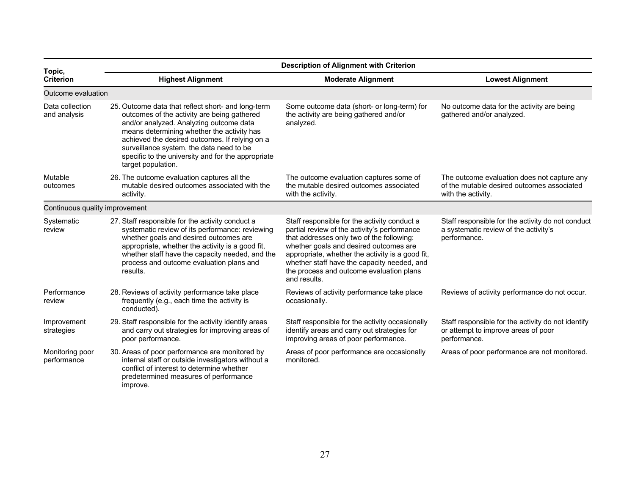| Topic,                          | <b>Description of Alignment with Criterion</b>                                                                                                                                                                                                                                                                                                                       |                                                                                                                                                                                                                                                                                                                                                    |                                                                                                                 |  |  |
|---------------------------------|----------------------------------------------------------------------------------------------------------------------------------------------------------------------------------------------------------------------------------------------------------------------------------------------------------------------------------------------------------------------|----------------------------------------------------------------------------------------------------------------------------------------------------------------------------------------------------------------------------------------------------------------------------------------------------------------------------------------------------|-----------------------------------------------------------------------------------------------------------------|--|--|
| <b>Criterion</b>                | <b>Highest Alignment</b>                                                                                                                                                                                                                                                                                                                                             | <b>Lowest Alignment</b>                                                                                                                                                                                                                                                                                                                            |                                                                                                                 |  |  |
| Outcome evaluation              |                                                                                                                                                                                                                                                                                                                                                                      |                                                                                                                                                                                                                                                                                                                                                    |                                                                                                                 |  |  |
| Data collection<br>and analysis | 25. Outcome data that reflect short- and long-term<br>outcomes of the activity are being gathered<br>and/or analyzed. Analyzing outcome data<br>means determining whether the activity has<br>achieved the desired outcomes. If relying on a<br>surveillance system, the data need to be<br>specific to the university and for the appropriate<br>target population. | Some outcome data (short- or long-term) for<br>the activity are being gathered and/or<br>analyzed.                                                                                                                                                                                                                                                 | No outcome data for the activity are being<br>gathered and/or analyzed.                                         |  |  |
| Mutable<br>outcomes             | 26. The outcome evaluation captures all the<br>mutable desired outcomes associated with the<br>activity.                                                                                                                                                                                                                                                             | The outcome evaluation captures some of<br>the mutable desired outcomes associated<br>with the activity.                                                                                                                                                                                                                                           | The outcome evaluation does not capture any<br>of the mutable desired outcomes associated<br>with the activity. |  |  |
| Continuous quality improvement  |                                                                                                                                                                                                                                                                                                                                                                      |                                                                                                                                                                                                                                                                                                                                                    |                                                                                                                 |  |  |
| Systematic<br>review            | 27. Staff responsible for the activity conduct a<br>systematic review of its performance: reviewing<br>whether goals and desired outcomes are<br>appropriate, whether the activity is a good fit,<br>whether staff have the capacity needed, and the<br>process and outcome evaluation plans and<br>results.                                                         | Staff responsible for the activity conduct a<br>partial review of the activity's performance<br>that addresses only two of the following:<br>whether goals and desired outcomes are<br>appropriate, whether the activity is a good fit,<br>whether staff have the capacity needed, and<br>the process and outcome evaluation plans<br>and results. | Staff responsible for the activity do not conduct<br>a systematic review of the activity's<br>performance.      |  |  |
| Performance<br>review           | 28. Reviews of activity performance take place<br>frequently (e.g., each time the activity is<br>conducted).                                                                                                                                                                                                                                                         | Reviews of activity performance take place<br>occasionally.                                                                                                                                                                                                                                                                                        | Reviews of activity performance do not occur.                                                                   |  |  |
| Improvement<br>strategies       | 29. Staff responsible for the activity identify areas<br>and carry out strategies for improving areas of<br>poor performance.                                                                                                                                                                                                                                        | Staff responsible for the activity occasionally<br>identify areas and carry out strategies for<br>improving areas of poor performance.                                                                                                                                                                                                             | Staff responsible for the activity do not identify<br>or attempt to improve areas of poor<br>performance.       |  |  |
| Monitoring poor<br>performance  | 30. Areas of poor performance are monitored by<br>internal staff or outside investigators without a<br>conflict of interest to determine whether<br>predetermined measures of performance<br>improve.                                                                                                                                                                | Areas of poor performance are occasionally<br>monitored.                                                                                                                                                                                                                                                                                           | Areas of poor performance are not monitored.                                                                    |  |  |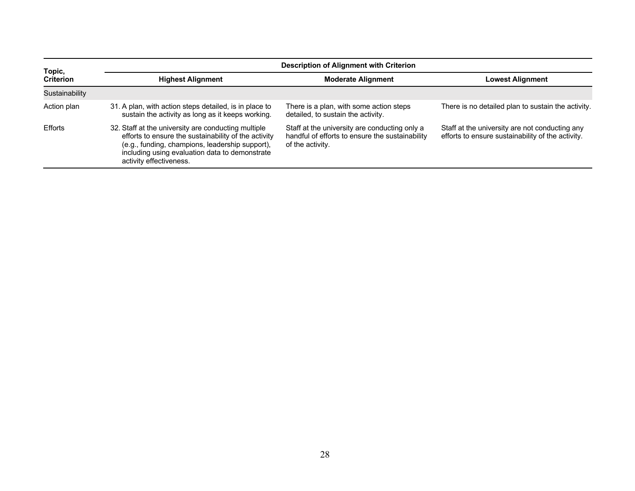| Topic,           | <b>Description of Alignment with Criterion</b>                                                                                                                                                                                              |                                                                                                                      |                                                                                                     |  |  |
|------------------|---------------------------------------------------------------------------------------------------------------------------------------------------------------------------------------------------------------------------------------------|----------------------------------------------------------------------------------------------------------------------|-----------------------------------------------------------------------------------------------------|--|--|
| <b>Criterion</b> | <b>Highest Alignment</b>                                                                                                                                                                                                                    | <b>Moderate Alignment</b>                                                                                            | <b>Lowest Alignment</b>                                                                             |  |  |
| Sustainability   |                                                                                                                                                                                                                                             |                                                                                                                      |                                                                                                     |  |  |
| Action plan      | 31. A plan, with action steps detailed, is in place to<br>sustain the activity as long as it keeps working.                                                                                                                                 | There is a plan, with some action steps<br>detailed, to sustain the activity.                                        | There is no detailed plan to sustain the activity.                                                  |  |  |
| <b>Efforts</b>   | 32. Staff at the university are conducting multiple<br>efforts to ensure the sustainability of the activity<br>(e.g., funding, champions, leadership support),<br>including using evaluation data to demonstrate<br>activity effectiveness. | Staff at the university are conducting only a<br>handful of efforts to ensure the sustainability<br>of the activity. | Staff at the university are not conducting any<br>efforts to ensure sustainability of the activity. |  |  |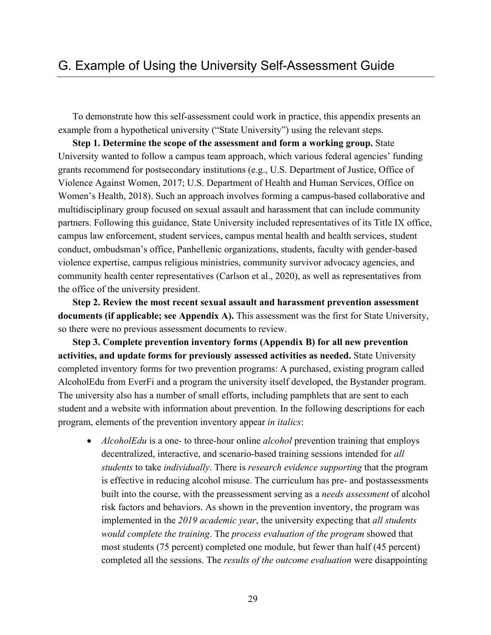To demonstrate how this self-assessment could work in practice, this appendix presents an example from a hypothetical university ("State University") using the relevant steps.

**Step 1. Determine the scope of the assessment and form a working group.** State University wanted to follow a campus team approach, which various federal agencies' funding grants recommend for postsecondary institutions (e.g., U.S. Department of Justice, Office of Violence Against Women, 2017; U.S. Department of Health and Human Services, Office on Women's Health, 2018). Such an approach involves forming a campus-based collaborative and multidisciplinary group focused on sexual assault and harassment that can include community partners. Following this guidance, State University included representatives of its Title IX office, campus law enforcement, student services, campus mental health and health services, student conduct, ombudsman's office, Panhellenic organizations, students, faculty with gender-based violence expertise, campus religious ministries, community survivor advocacy agencies, and community health center representatives (Carlson et al., 2020), as well as representatives from the office of the university president.

**Step 2. Review the most recent sexual assault and harassment prevention assessment documents (if applicable; see Appendix A).** This assessment was the first for State University, so there were no previous assessment documents to review.

**Step 3. Complete prevention inventory forms (Appendix B) for all new prevention activities, and update forms for previously assessed activities as needed.** State University completed inventory forms for two prevention programs: A purchased, existing program called AlcoholEdu from EverFi and a program the university itself developed, the Bystander program. The university also has a number of small efforts, including pamphlets that are sent to each student and a website with information about prevention. In the following descriptions for each program, elements of the prevention inventory appear *in italics*:

• *AlcoholEdu* is a one- to three-hour online *alcohol* prevention training that employs decentralized, interactive, and scenario-based training sessions intended for *all students* to take *individually*. There is *research evidence supporting* that the program is effective in reducing alcohol misuse. The curriculum has pre- and postassessments built into the course, with the preassessment serving as a *needs assessment* of alcohol risk factors and behaviors. As shown in the prevention inventory, the program was implemented in the *2019 academic year*, the university expecting that *all students would complete the training*. The *process evaluation of the program* showed that most students (75 percent) completed one module, but fewer than half (45 percent) completed all the sessions. The *results of the outcome evaluation* were disappointing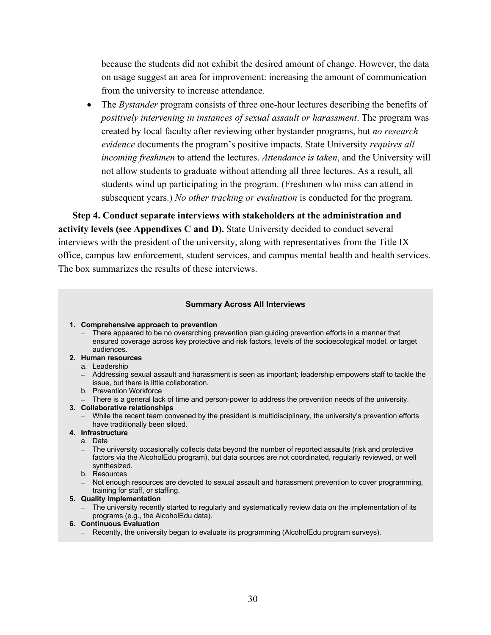because the students did not exhibit the desired amount of change. However, the data on usage suggest an area for improvement: increasing the amount of communication from the university to increase attendance.

The *Bystander* program consists of three one-hour lectures describing the benefits of *positively intervening in instances of sexual assault or harassment*. The program was created by local faculty after reviewing other bystander programs, but *no research evidence* documents the program's positive impacts. State University *requires all incoming freshmen* to attend the lectures. *Attendance is taken*, and the University will not allow students to graduate without attending all three lectures. As a result, all students wind up participating in the program. (Freshmen who miss can attend in subsequent years.) *No other tracking or evaluation* is conducted for the program.

**Step 4. Conduct separate interviews with stakeholders at the administration and activity levels (see Appendixes C and D).** State University decided to conduct several interviews with the president of the university, along with representatives from the Title IX office, campus law enforcement, student services, and campus mental health and health services. The box summarizes the results of these interviews.

#### **Summary Across All Interviews**

- **1. Comprehensive approach to prevention**
	- There appeared to be no overarching prevention plan guiding prevention efforts in a manner that ensured coverage across key protective and risk factors, levels of the socioecological model, or target audiences.
- **2. Human resources**
	- a. Leadership
	- Addressing sexual assault and harassment is seen as important; leadership empowers staff to tackle the issue, but there is little collaboration.
	- b. Prevention Workforce
	- There is a general lack of time and person-power to address the prevention needs of the university.
- **3. Collaborative relationships**
	- While the recent team convened by the president is multidisciplinary, the university's prevention efforts have traditionally been siloed.
- **4. Infrastructure**
	- a. Data
	- The university occasionally collects data beyond the number of reported assaults (risk and protective factors via the AlcoholEdu program), but data sources are not coordinated, regularly reviewed, or well synthesized.
	- b. Resources
	- Not enough resources are devoted to sexual assault and harassment prevention to cover programming, training for staff, or staffing.
- **5. Quality Implementation**
	- The university recently started to regularly and systematically review data on the implementation of its programs (e.g., the AlcoholEdu data).
- **6. Continuous Evaluation**
	- Recently, the university began to evaluate its programming (AlcoholEdu program surveys).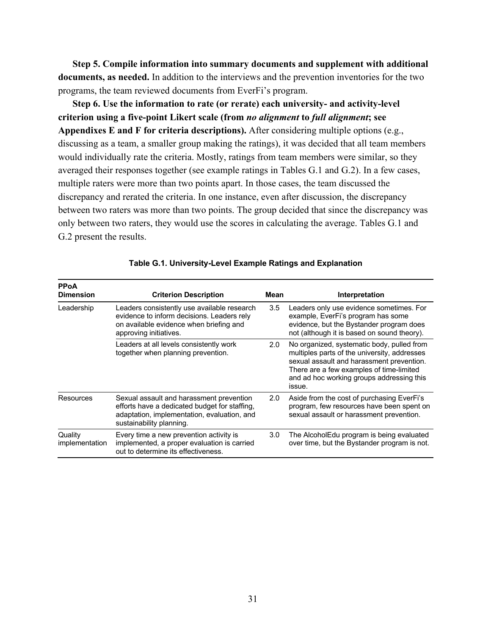**Step 5. Compile information into summary documents and supplement with additional documents, as needed.** In addition to the interviews and the prevention inventories for the two programs, the team reviewed documents from EverFi's program.

**Step 6. Use the information to rate (or rerate) each university- and activity-level criterion using a five-point Likert scale (from** *no alignment* **to** *full alignment***; see Appendixes E and F for criteria descriptions).** After considering multiple options (e.g., discussing as a team, a smaller group making the ratings), it was decided that all team members would individually rate the criteria. Mostly, ratings from team members were similar, so they averaged their responses together (see example ratings in Tables G.1 and G.2). In a few cases, multiple raters were more than two points apart. In those cases, the team discussed the discrepancy and rerated the criteria. In one instance, even after discussion, the discrepancy between two raters was more than two points. The group decided that since the discrepancy was only between two raters, they would use the scores in calculating the average. Tables G.1 and G.2 present the results.

| <b>PPoA</b><br><b>Dimension</b> | <b>Criterion Description</b>                                                                                                                                         | Mean | Interpretation                                                                                                                                                                                                                             |
|---------------------------------|----------------------------------------------------------------------------------------------------------------------------------------------------------------------|------|--------------------------------------------------------------------------------------------------------------------------------------------------------------------------------------------------------------------------------------------|
| Leadership                      | Leaders consistently use available research<br>evidence to inform decisions. Leaders rely<br>on available evidence when briefing and<br>approving initiatives.       | 3.5  | Leaders only use evidence sometimes. For<br>example, EverFi's program has some<br>evidence, but the Bystander program does<br>not (although it is based on sound theory).                                                                  |
|                                 | Leaders at all levels consistently work<br>together when planning prevention.                                                                                        | 2.0  | No organized, systematic body, pulled from<br>multiples parts of the university, addresses<br>sexual assault and harassment prevention.<br>There are a few examples of time-limited<br>and ad hoc working groups addressing this<br>issue. |
| Resources                       | Sexual assault and harassment prevention<br>efforts have a dedicated budget for staffing,<br>adaptation, implementation, evaluation, and<br>sustainability planning. | 2.0  | Aside from the cost of purchasing EverFi's<br>program, few resources have been spent on<br>sexual assault or harassment prevention.                                                                                                        |
| Quality<br>implementation       | Every time a new prevention activity is<br>implemented, a proper evaluation is carried<br>out to determine its effectiveness.                                        | 3.0  | The AlcoholEdu program is being evaluated<br>over time, but the Bystander program is not.                                                                                                                                                  |

#### **Table G.1. University-Level Example Ratings and Explanation**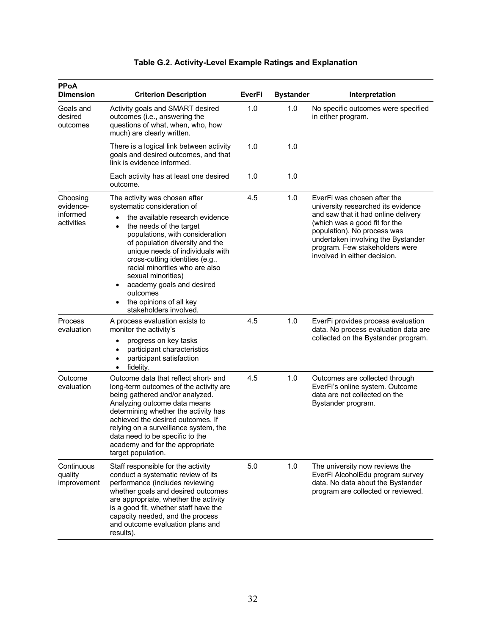| <b>PPoA</b><br><b>Dimension</b>                 | <b>Criterion Description</b>                                                                                                                                                                                                                                                                                                                                                                                                                            | EverFi | <b>Bystander</b> | Interpretation                                                                                                                                                                                                                                                                   |
|-------------------------------------------------|---------------------------------------------------------------------------------------------------------------------------------------------------------------------------------------------------------------------------------------------------------------------------------------------------------------------------------------------------------------------------------------------------------------------------------------------------------|--------|------------------|----------------------------------------------------------------------------------------------------------------------------------------------------------------------------------------------------------------------------------------------------------------------------------|
| Goals and<br>desired<br>outcomes                | Activity goals and SMART desired<br>outcomes (i.e., answering the<br>questions of what, when, who, how<br>much) are clearly written.                                                                                                                                                                                                                                                                                                                    | 1.0    | 1.0              | No specific outcomes were specified<br>in either program.                                                                                                                                                                                                                        |
|                                                 | There is a logical link between activity<br>goals and desired outcomes, and that<br>link is evidence informed.                                                                                                                                                                                                                                                                                                                                          | 1.0    | 1.0              |                                                                                                                                                                                                                                                                                  |
|                                                 | Each activity has at least one desired<br>outcome.                                                                                                                                                                                                                                                                                                                                                                                                      | 1.0    | 1.0              |                                                                                                                                                                                                                                                                                  |
| Choosing<br>evidence-<br>informed<br>activities | The activity was chosen after<br>systematic consideration of<br>the available research evidence<br>$\bullet$<br>the needs of the target<br>$\bullet$<br>populations, with consideration<br>of population diversity and the<br>unique needs of individuals with<br>cross-cutting identities (e.g.,<br>racial minorities who are also<br>sexual minorities)<br>academy goals and desired<br>outcomes<br>the opinions of all key<br>stakeholders involved. | 4.5    | 1.0              | EverFi was chosen after the<br>university researched its evidence<br>and saw that it had online delivery<br>(which was a good fit for the<br>population). No process was<br>undertaken involving the Bystander<br>program. Few stakeholders were<br>involved in either decision. |
| Process<br>evaluation                           | A process evaluation exists to<br>monitor the activity's<br>progress on key tasks<br>$\bullet$<br>participant characteristics<br>$\bullet$<br>participant satisfaction<br>٠<br>fidelity.<br>$\bullet$                                                                                                                                                                                                                                                   | 4.5    | 1.0              | EverFi provides process evaluation<br>data. No process evaluation data are<br>collected on the Bystander program.                                                                                                                                                                |
| Outcome<br>evaluation                           | Outcome data that reflect short- and<br>long-term outcomes of the activity are<br>being gathered and/or analyzed.<br>Analyzing outcome data means<br>determining whether the activity has<br>achieved the desired outcomes. If<br>relying on a surveillance system, the<br>data need to be specific to the<br>academy and for the appropriate<br>target population.                                                                                     | 4.5    | 1.0              | Outcomes are collected through<br>EverFi's online system. Outcome<br>data are not collected on the<br>Bystander program.                                                                                                                                                         |
| Continuous<br>quality<br>improvement            | Staff responsible for the activity<br>conduct a systematic review of its<br>performance (includes reviewing<br>whether goals and desired outcomes<br>are appropriate, whether the activity<br>is a good fit, whether staff have the<br>capacity needed, and the process<br>and outcome evaluation plans and<br>results).                                                                                                                                | 5.0    | 1.0              | The university now reviews the<br>EverFi AlcoholEdu program survey<br>data. No data about the Bystander<br>program are collected or reviewed.                                                                                                                                    |

### **Table G.2. Activity-Level Example Ratings and Explanation**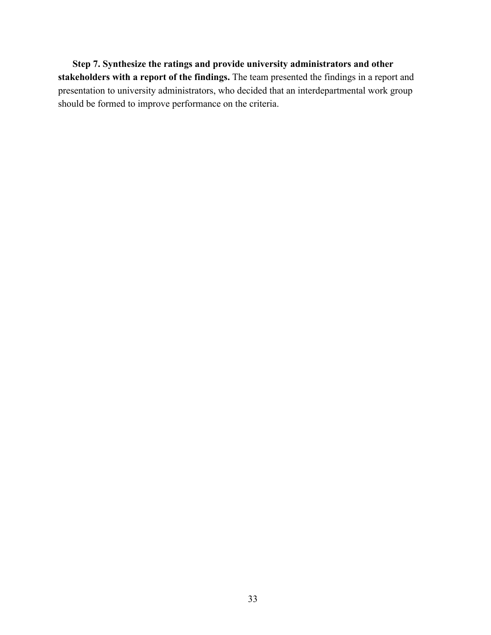**Step 7. Synthesize the ratings and provide university administrators and other stakeholders with a report of the findings.** The team presented the findings in a report and presentation to university administrators, who decided that an interdepartmental work group should be formed to improve performance on the criteria.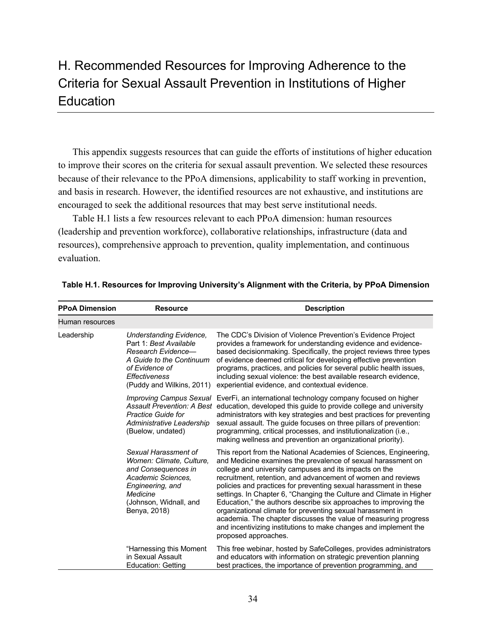# H. Recommended Resources for Improving Adherence to the Criteria for Sexual Assault Prevention in Institutions of Higher **Education**

This appendix suggests resources that can guide the efforts of institutions of higher education to improve their scores on the criteria for sexual assault prevention. We selected these resources because of their relevance to the PPoA dimensions, applicability to staff working in prevention, and basis in research. However, the identified resources are not exhaustive, and institutions are encouraged to seek the additional resources that may best serve institutional needs.

Table H.1 lists a few resources relevant to each PPoA dimension: human resources (leadership and prevention workforce), collaborative relationships, infrastructure (data and resources), comprehensive approach to prevention, quality implementation, and continuous evaluation.

| <b>PPoA Dimension</b> | <b>Resource</b>                                                                                                                                                         | <b>Description</b>                                                                                                                                                                                                                                                                                                                                                                                                                                                                                                                                                                                                                                                                                      |
|-----------------------|-------------------------------------------------------------------------------------------------------------------------------------------------------------------------|---------------------------------------------------------------------------------------------------------------------------------------------------------------------------------------------------------------------------------------------------------------------------------------------------------------------------------------------------------------------------------------------------------------------------------------------------------------------------------------------------------------------------------------------------------------------------------------------------------------------------------------------------------------------------------------------------------|
| Human resources       |                                                                                                                                                                         |                                                                                                                                                                                                                                                                                                                                                                                                                                                                                                                                                                                                                                                                                                         |
| Leadership            | Understanding Evidence,<br>Part 1: Best Available<br>Research Evidence-<br>A Guide to the Continuum<br>of Evidence of<br>Effectiveness<br>(Puddy and Wilkins, 2011)     | The CDC's Division of Violence Prevention's Evidence Project<br>provides a framework for understanding evidence and evidence-<br>based decisionmaking. Specifically, the project reviews three types<br>of evidence deemed critical for developing effective prevention<br>programs, practices, and policies for several public health issues,<br>including sexual violence: the best available research evidence,<br>experiential evidence, and contextual evidence.                                                                                                                                                                                                                                   |
|                       | Practice Guide for<br>Administrative Leadership<br>(Buelow, undated)                                                                                                    | <i>Improving Campus Sexual</i> EverFi, an international technology company focused on higher<br>Assault Prevention: A Best education, developed this quide to provide college and university<br>administrators with key strategies and best practices for preventing<br>sexual assault. The guide focuses on three pillars of prevention:<br>programming, critical processes, and institutionalization (i.e.,<br>making wellness and prevention an organizational priority).                                                                                                                                                                                                                            |
|                       | Sexual Harassment of<br>Women: Climate, Culture,<br>and Consequences in<br>Academic Sciences.<br>Engineering, and<br>Medicine<br>(Johnson, Widnall, and<br>Benya, 2018) | This report from the National Academies of Sciences, Engineering,<br>and Medicine examines the prevalence of sexual harassment on<br>college and university campuses and its impacts on the<br>recruitment, retention, and advancement of women and reviews<br>policies and practices for preventing sexual harassment in these<br>settings. In Chapter 6, "Changing the Culture and Climate in Higher<br>Education," the authors describe six approaches to improving the<br>organizational climate for preventing sexual harassment in<br>academia. The chapter discusses the value of measuring progress<br>and incentivizing institutions to make changes and implement the<br>proposed approaches. |
|                       | "Harnessing this Moment<br>in Sexual Assault<br><b>Education: Getting</b>                                                                                               | This free webinar, hosted by SafeColleges, provides administrators<br>and educators with information on strategic prevention planning<br>best practices, the importance of prevention programming, and                                                                                                                                                                                                                                                                                                                                                                                                                                                                                                  |

**Table H.1. Resources for Improving University's Alignment with the Criteria, by PPoA Dimension**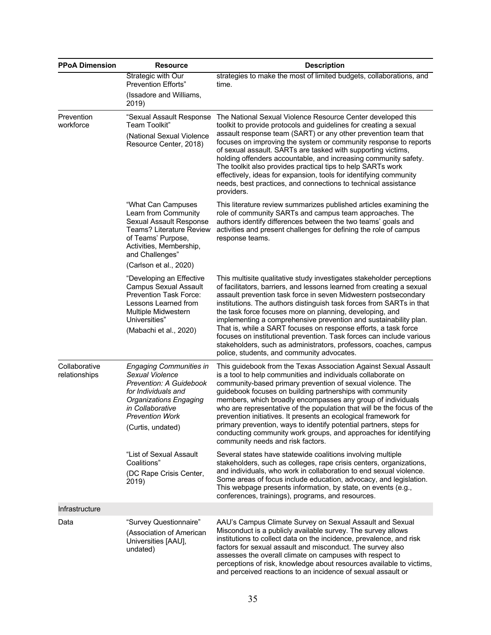| <b>PPoA Dimension</b>          | <b>Resource</b>                                                                                                                                                                                         | <b>Description</b>                                                                                                                                                                                                                                                                                                                                                                                                                                                                                                                                                                                                                                                                      |
|--------------------------------|---------------------------------------------------------------------------------------------------------------------------------------------------------------------------------------------------------|-----------------------------------------------------------------------------------------------------------------------------------------------------------------------------------------------------------------------------------------------------------------------------------------------------------------------------------------------------------------------------------------------------------------------------------------------------------------------------------------------------------------------------------------------------------------------------------------------------------------------------------------------------------------------------------------|
|                                | Strategic with Our<br><b>Prevention Efforts"</b>                                                                                                                                                        | strategies to make the most of limited budgets, collaborations, and<br>time.                                                                                                                                                                                                                                                                                                                                                                                                                                                                                                                                                                                                            |
|                                | (Issadore and Williams,<br>2019)                                                                                                                                                                        |                                                                                                                                                                                                                                                                                                                                                                                                                                                                                                                                                                                                                                                                                         |
| Prevention<br>workforce        | "Sexual Assault Response<br>Team Toolkit"<br>(National Sexual Violence<br>Resource Center, 2018)                                                                                                        | The National Sexual Violence Resource Center developed this<br>toolkit to provide protocols and guidelines for creating a sexual<br>assault response team (SART) or any other prevention team that<br>focuses on improving the system or community response to reports<br>of sexual assault. SARTs are tasked with supporting victims,<br>holding offenders accountable, and increasing community safety.<br>The toolkit also provides practical tips to help SARTs work<br>effectively, ideas for expansion, tools for identifying community<br>needs, best practices, and connections to technical assistance<br>providers.                                                           |
|                                | "What Can Campuses<br>Learn from Community<br>Sexual Assault Response<br><b>Teams? Literature Review</b><br>of Teams' Purpose,<br>Activities, Membership,<br>and Challenges"<br>(Carlson et al., 2020)  | This literature review summarizes published articles examining the<br>role of community SARTs and campus team approaches. The<br>authors identify differences between the two teams' goals and<br>activities and present challenges for defining the role of campus<br>response teams.                                                                                                                                                                                                                                                                                                                                                                                                  |
|                                | "Developing an Effective<br><b>Campus Sexual Assault</b><br><b>Prevention Task Force:</b><br>Lessons Learned from<br>Multiple Midwestern<br>Universities"<br>(Mabachi et al., 2020)                     | This multisite qualitative study investigates stakeholder perceptions<br>of facilitators, barriers, and lessons learned from creating a sexual<br>assault prevention task force in seven Midwestern postsecondary<br>institutions. The authors distinguish task forces from SARTs in that<br>the task force focuses more on planning, developing, and<br>implementing a comprehensive prevention and sustainability plan.<br>That is, while a SART focuses on response efforts, a task force<br>focuses on institutional prevention. Task forces can include various<br>stakeholders, such as administrators, professors, coaches, campus<br>police, students, and community advocates. |
| Collaborative<br>relationships | <b>Engaging Communities in</b><br><b>Sexual Violence</b><br>Prevention: A Guidebook<br>for Individuals and<br>Organizations Engaging<br>in Collaborative<br><b>Prevention Work</b><br>(Curtis, undated) | This guidebook from the Texas Association Against Sexual Assault<br>is a tool to help communities and individuals collaborate on<br>community-based primary prevention of sexual violence. The<br>guidebook focuses on building partnerships with community<br>members, which broadly encompasses any group of individuals<br>who are representative of the population that will be the focus of the<br>prevention initiatives. It presents an ecological framework for<br>primary prevention, ways to identify potential partners, steps for<br>conducting community work groups, and approaches for identifying<br>community needs and risk factors.                                  |
|                                | "List of Sexual Assault<br>Coalitions"<br>(DC Rape Crisis Center,<br>2019)                                                                                                                              | Several states have statewide coalitions involving multiple<br>stakeholders, such as colleges, rape crisis centers, organizations,<br>and individuals, who work in collaboration to end sexual violence.<br>Some areas of focus include education, advocacy, and legislation.<br>This webpage presents information, by state, on events (e.g.,<br>conferences, trainings), programs, and resources.                                                                                                                                                                                                                                                                                     |
| Infrastructure                 |                                                                                                                                                                                                         |                                                                                                                                                                                                                                                                                                                                                                                                                                                                                                                                                                                                                                                                                         |
| Data                           | "Survey Questionnaire"<br>(Association of American<br>Universities [AAU],<br>undated)                                                                                                                   | AAU's Campus Climate Survey on Sexual Assault and Sexual<br>Misconduct is a publicly available survey. The survey allows<br>institutions to collect data on the incidence, prevalence, and risk<br>factors for sexual assault and misconduct. The survey also<br>assesses the overall climate on campuses with respect to<br>perceptions of risk, knowledge about resources available to victims,<br>and perceived reactions to an incidence of sexual assault or                                                                                                                                                                                                                       |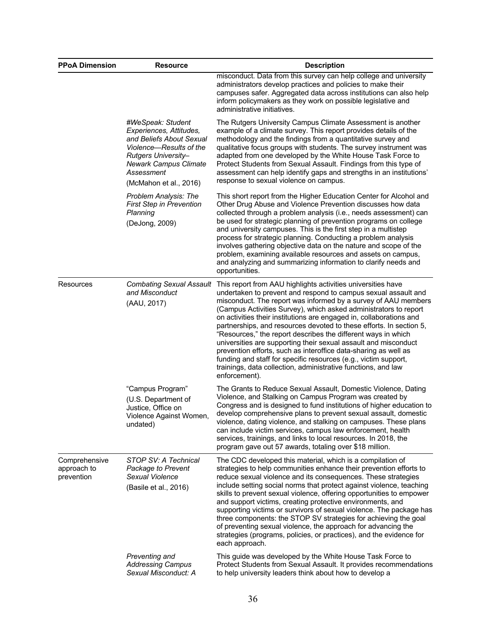| <b>PPoA Dimension</b>                      | <b>Resource</b>                                                                                                                                                                                    | <b>Description</b>                                                                                                                                                                                                                                                                                                                                                                                                                                                                                                                                                                                                                                                                                                                                                             |
|--------------------------------------------|----------------------------------------------------------------------------------------------------------------------------------------------------------------------------------------------------|--------------------------------------------------------------------------------------------------------------------------------------------------------------------------------------------------------------------------------------------------------------------------------------------------------------------------------------------------------------------------------------------------------------------------------------------------------------------------------------------------------------------------------------------------------------------------------------------------------------------------------------------------------------------------------------------------------------------------------------------------------------------------------|
|                                            |                                                                                                                                                                                                    | misconduct. Data from this survey can help college and university<br>administrators develop practices and policies to make their<br>campuses safer. Aggregated data across institutions can also help<br>inform policymakers as they work on possible legislative and<br>administrative initiatives.                                                                                                                                                                                                                                                                                                                                                                                                                                                                           |
|                                            | #WeSpeak: Student<br>Experiences, Attitudes,<br>and Beliefs About Sexual<br>Violence-Results of the<br>Rutgers University-<br><b>Newark Campus Climate</b><br>Assessment<br>(McMahon et al., 2016) | The Rutgers University Campus Climate Assessment is another<br>example of a climate survey. This report provides details of the<br>methodology and the findings from a quantitative survey and<br>qualitative focus groups with students. The survey instrument was<br>adapted from one developed by the White House Task Force to<br>Protect Students from Sexual Assault. Findings from this type of<br>assessment can help identify gaps and strengths in an institutions'<br>response to sexual violence on campus.                                                                                                                                                                                                                                                        |
|                                            | <b>Problem Analysis: The</b><br><b>First Step in Prevention</b><br>Planning<br>(DeJong, 2009)                                                                                                      | This short report from the Higher Education Center for Alcohol and<br>Other Drug Abuse and Violence Prevention discusses how data<br>collected through a problem analysis (i.e., needs assessment) can<br>be used for strategic planning of prevention programs on college<br>and university campuses. This is the first step in a multistep<br>process for strategic planning. Conducting a problem analysis<br>involves gathering objective data on the nature and scope of the<br>problem, examining available resources and assets on campus,<br>and analyzing and summarizing information to clarify needs and<br>opportunities.                                                                                                                                          |
| Resources                                  | <b>Combating Sexual Assault</b><br>and Misconduct<br>(AAU, 2017)                                                                                                                                   | This report from AAU highlights activities universities have<br>undertaken to prevent and respond to campus sexual assault and<br>misconduct. The report was informed by a survey of AAU members<br>(Campus Activities Survey), which asked administrators to report<br>on activities their institutions are engaged in, collaborations and<br>partnerships, and resources devoted to these efforts. In section 5,<br>"Resources," the report describes the different ways in which<br>universities are supporting their sexual assault and misconduct<br>prevention efforts, such as interoffice data-sharing as well as<br>funding and staff for specific resources (e.g., victim support,<br>trainings, data collection, administrative functions, and law<br>enforcement). |
|                                            | "Campus Program"<br>(U.S. Department of<br>Justice, Office on<br>Violence Against Women,<br>undated)                                                                                               | The Grants to Reduce Sexual Assault, Domestic Violence, Dating<br>Violence, and Stalking on Campus Program was created by<br>Congress and is designed to fund institutions of higher education to<br>develop comprehensive plans to prevent sexual assault, domestic<br>violence, dating violence, and stalking on campuses. These plans<br>can include victim services, campus law enforcement, health<br>services, trainings, and links to local resources. In 2018, the<br>program gave out 57 awards, totaling over \$18 million.                                                                                                                                                                                                                                          |
| Comprehensive<br>approach to<br>prevention | STOP SV: A Technical<br>Package to Prevent<br>Sexual Violence<br>(Basile et al., 2016)                                                                                                             | The CDC developed this material, which is a compilation of<br>strategies to help communities enhance their prevention efforts to<br>reduce sexual violence and its consequences. These strategies<br>include setting social norms that protect against violence, teaching<br>skills to prevent sexual violence, offering opportunities to empower<br>and support victims, creating protective environments, and<br>supporting victims or survivors of sexual violence. The package has<br>three components: the STOP SV strategies for achieving the goal<br>of preventing sexual violence, the approach for advancing the<br>strategies (programs, policies, or practices), and the evidence for<br>each approach.                                                            |
|                                            | Preventing and<br><b>Addressing Campus</b><br>Sexual Misconduct: A                                                                                                                                 | This guide was developed by the White House Task Force to<br>Protect Students from Sexual Assault. It provides recommendations<br>to help university leaders think about how to develop a                                                                                                                                                                                                                                                                                                                                                                                                                                                                                                                                                                                      |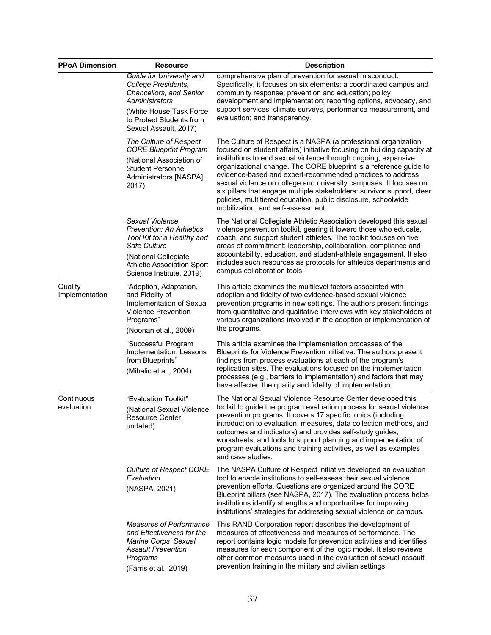| <b>PPoA Dimension</b>     | <b>Resource</b>                                                                                                                                                                           | <b>Description</b>                                                                                                                                                                                                                                                                                                                                                                                                                                                                                                                                                                                    |
|---------------------------|-------------------------------------------------------------------------------------------------------------------------------------------------------------------------------------------|-------------------------------------------------------------------------------------------------------------------------------------------------------------------------------------------------------------------------------------------------------------------------------------------------------------------------------------------------------------------------------------------------------------------------------------------------------------------------------------------------------------------------------------------------------------------------------------------------------|
|                           | Guide for University and<br>College Presidents,<br>Chancellors, and Senior<br>Administrators<br>(White House Task Force<br>to Protect Students from<br>Sexual Assault, 2017)              | comprehensive plan of prevention for sexual misconduct.<br>Specifically, it focuses on six elements: a coordinated campus and<br>community response; prevention and education; policy<br>development and implementation; reporting options, advocacy, and<br>support services; climate surveys, performance measurement, and<br>evaluation; and transparency.                                                                                                                                                                                                                                         |
|                           | The Culture of Respect<br><b>CORE Blueprint Program</b><br>(National Association of<br><b>Student Personnel</b><br>Administrators [NASPA],<br>2017)                                       | The Culture of Respect is a NASPA (a professional organization<br>focused on student affairs) initiative focusing on building capacity at<br>institutions to end sexual violence through ongoing, expansive<br>organizational change. The CORE blueprint is a reference guide to<br>evidence-based and expert-recommended practices to address<br>sexual violence on college and university campuses. It focuses on<br>six pillars that engage multiple stakeholders: survivor support, clear<br>policies, multitiered education, public disclosure, schoolwide<br>mobilization, and self-assessment. |
|                           | Sexual Violence<br><b>Prevention: An Athletics</b><br>Tool Kit for a Healthy and<br>Safe Culture<br>(National Collegiate<br><b>Athletic Association Sport</b><br>Science Institute, 2019) | The National Collegiate Athletic Association developed this sexual<br>violence prevention toolkit, gearing it toward those who educate,<br>coach, and support student athletes. The toolkit focuses on five<br>areas of commitment: leadership, collaboration, compliance and<br>accountability, education, and student-athlete engagement. It also<br>includes such resources as protocols for athletics departments and<br>campus collaboration tools.                                                                                                                                              |
| Quality<br>Implementation | "Adoption, Adaptation,<br>and Fidelity of<br>Implementation of Sexual<br><b>Violence Prevention</b><br>Programs"<br>(Noonan et al., 2009)                                                 | This article examines the multilevel factors associated with<br>adoption and fidelity of two evidence-based sexual violence<br>prevention programs in new settings. The authors present findings<br>from quantitative and qualitative interviews with key stakeholders at<br>various organizations involved in the adoption or implementation of<br>the programs.                                                                                                                                                                                                                                     |
|                           | "Successful Program<br>Implementation: Lessons<br>from Blueprints"<br>(Mihalic et al., 2004)                                                                                              | This article examines the implementation processes of the<br>Blueprints for Violence Prevention initiative. The authors present<br>findings from process evaluations at each of the program's<br>replication sites. The evaluations focused on the implementation<br>processes (e.g., barriers to implementation) and factors that may<br>have affected the quality and fidelity of implementation.                                                                                                                                                                                                   |
| Continuous<br>evaluation  | "Evaluation Toolkit"<br>(National Sexual Violence<br>Resource Center,<br>undated)                                                                                                         | The National Sexual Violence Resource Center developed this<br>toolkit to guide the program evaluation process for sexual violence<br>prevention programs. It covers 17 specific topics (including<br>introduction to evaluation, measures, data collection methods, and<br>outcomes and indicators) and provides self-study guides,<br>worksheets, and tools to support planning and implementation of<br>program evaluations and training activities, as well as examples<br>and case studies.                                                                                                      |
|                           | <b>Culture of Respect CORE</b><br>Evaluation<br>(NASPA, 2021)                                                                                                                             | The NASPA Culture of Respect initiative developed an evaluation<br>tool to enable institutions to self-assess their sexual violence<br>prevention efforts. Questions are organized around the CORE<br>Blueprint pillars (see NASPA, 2017). The evaluation process helps<br>institutions identify strengths and opportunities for improving<br>institutions' strategies for addressing sexual violence on campus.                                                                                                                                                                                      |
|                           | <b>Measures of Performance</b><br>and Effectiveness for the<br>Marine Corps' Sexual<br><b>Assault Prevention</b><br>Programs<br>(Farris et al., 2019)                                     | This RAND Corporation report describes the development of<br>measures of effectiveness and measures of performance. The<br>report contains logic models for prevention activities and identifies<br>measures for each component of the logic model. It also reviews<br>other common measures used in the evaluation of sexual assault<br>prevention training in the military and civilian settings.                                                                                                                                                                                                   |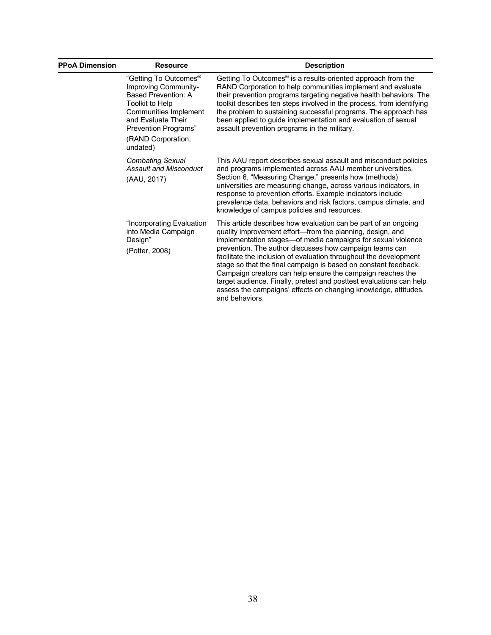| <b>PPoA Dimension</b> | <b>Resource</b>                                                                                                                                                                                                     | <b>Description</b>                                                                                                                                                                                                                                                                                                                                                                                                                                                                                                                                                                                                        |
|-----------------------|---------------------------------------------------------------------------------------------------------------------------------------------------------------------------------------------------------------------|---------------------------------------------------------------------------------------------------------------------------------------------------------------------------------------------------------------------------------------------------------------------------------------------------------------------------------------------------------------------------------------------------------------------------------------------------------------------------------------------------------------------------------------------------------------------------------------------------------------------------|
|                       | "Getting To Outcomes <sup>®</sup><br>Improving Community-<br><b>Based Prevention: A</b><br>Toolkit to Help<br>Communities Implement<br>and Evaluate Their<br>Prevention Programs"<br>(RAND Corporation,<br>undated) | Getting To Outcomes <sup>®</sup> is a results-oriented approach from the<br>RAND Corporation to help communities implement and evaluate<br>their prevention programs targeting negative health behaviors. The<br>toolkit describes ten steps involved in the process, from identifying<br>the problem to sustaining successful programs. The approach has<br>been applied to guide implementation and evaluation of sexual<br>assault prevention programs in the military.                                                                                                                                                |
|                       | <b>Combating Sexual</b><br><b>Assault and Misconduct</b><br>(AAU, 2017)                                                                                                                                             | This AAU report describes sexual assault and misconduct policies<br>and programs implemented across AAU member universities.<br>Section 6, "Measuring Change," presents how (methods)<br>universities are measuring change, across various indicators, in<br>response to prevention efforts. Example indicators include<br>prevalence data, behaviors and risk factors, campus climate, and<br>knowledge of campus policies and resources.                                                                                                                                                                                |
|                       | "Incorporating Evaluation<br>into Media Campaign<br>Design"<br>(Potter, 2008)                                                                                                                                       | This article describes how evaluation can be part of an ongoing<br>quality improvement effort—from the planning, design, and<br>implementation stages-of media campaigns for sexual violence<br>prevention. The author discusses how campaign teams can<br>facilitate the inclusion of evaluation throughout the development<br>stage so that the final campaign is based on constant feedback.<br>Campaign creators can help ensure the campaign reaches the<br>target audience. Finally, pretest and posttest evaluations can help<br>assess the campaigns' effects on changing knowledge, attitudes,<br>and behaviors. |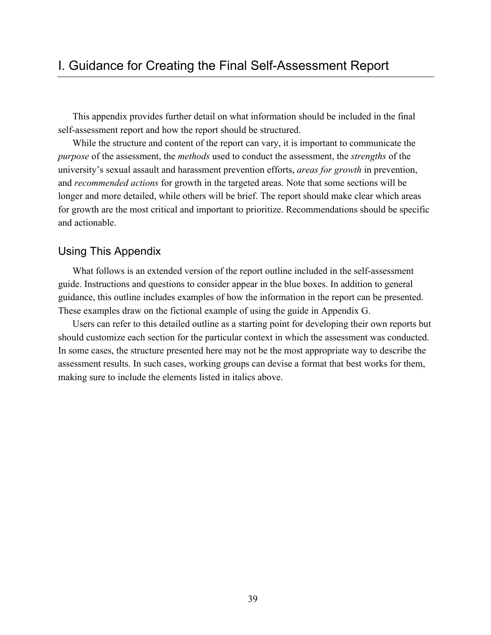This appendix provides further detail on what information should be included in the final self-assessment report and how the report should be structured.

While the structure and content of the report can vary, it is important to communicate the *purpose* of the assessment, the *methods* used to conduct the assessment, the *strengths* of the university's sexual assault and harassment prevention efforts, *areas for growth* in prevention, and *recommended actions* for growth in the targeted areas. Note that some sections will be longer and more detailed, while others will be brief. The report should make clear which areas for growth are the most critical and important to prioritize. Recommendations should be specific and actionable.

# Using This Appendix

What follows is an extended version of the report outline included in the self-assessment guide. Instructions and questions to consider appear in the blue boxes. In addition to general guidance, this outline includes examples of how the information in the report can be presented. These examples draw on the fictional example of using the guide in Appendix G.

Users can refer to this detailed outline as a starting point for developing their own reports but should customize each section for the particular context in which the assessment was conducted. In some cases, the structure presented here may not be the most appropriate way to describe the assessment results. In such cases, working groups can devise a format that best works for them, making sure to include the elements listed in italics above.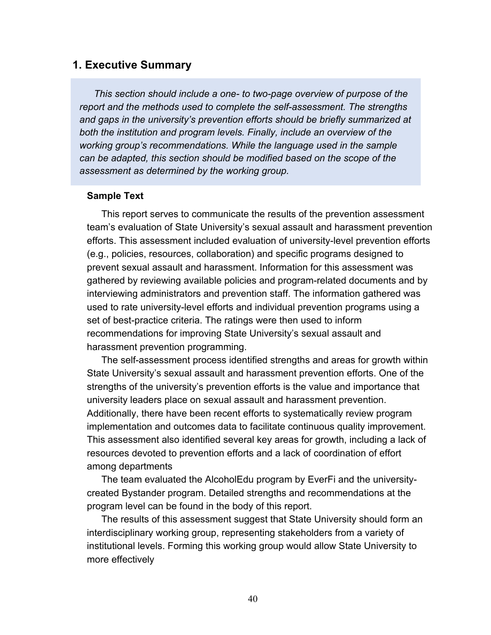### **1. Executive Summary**

*This section should include a one- to two-page overview of purpose of the report and the methods used to complete the self-assessment. The strengths and gaps in the university's prevention efforts should be briefly summarized at both the institution and program levels. Finally, include an overview of the working group's recommendations. While the language used in the sample can be adapted, this section should be modified based on the scope of the assessment as determined by the working group.*

#### **Sample Text**

This report serves to communicate the results of the prevention assessment team's evaluation of State University's sexual assault and harassment prevention efforts. This assessment included evaluation of university-level prevention efforts (e.g., policies, resources, collaboration) and specific programs designed to prevent sexual assault and harassment. Information for this assessment was gathered by reviewing available policies and program-related documents and by interviewing administrators and prevention staff. The information gathered was used to rate university-level efforts and individual prevention programs using a set of best-practice criteria. The ratings were then used to inform recommendations for improving State University's sexual assault and harassment prevention programming.

The self-assessment process identified strengths and areas for growth within State University's sexual assault and harassment prevention efforts. One of the strengths of the university's prevention efforts is the value and importance that university leaders place on sexual assault and harassment prevention. Additionally, there have been recent efforts to systematically review program implementation and outcomes data to facilitate continuous quality improvement. This assessment also identified several key areas for growth, including a lack of resources devoted to prevention efforts and a lack of coordination of effort among departments

The team evaluated the AlcoholEdu program by EverFi and the universitycreated Bystander program. Detailed strengths and recommendations at the program level can be found in the body of this report.

The results of this assessment suggest that State University should form an interdisciplinary working group, representing stakeholders from a variety of institutional levels. Forming this working group would allow State University to more effectively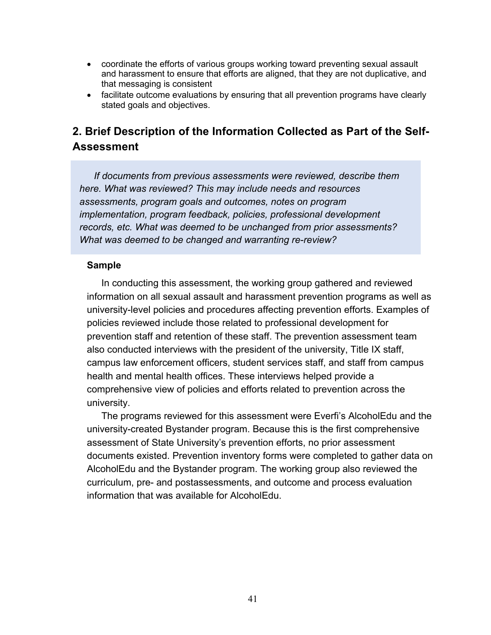- coordinate the efforts of various groups working toward preventing sexual assault and harassment to ensure that efforts are aligned, that they are not duplicative, and that messaging is consistent
- facilitate outcome evaluations by ensuring that all prevention programs have clearly stated goals and objectives.

# **2. Brief Description of the Information Collected as Part of the Self-Assessment**

*If documents from previous assessments were reviewed, describe them here. What was reviewed? This may include needs and resources assessments, program goals and outcomes, notes on program implementation, program feedback, policies, professional development records, etc. What was deemed to be unchanged from prior assessments? What was deemed to be changed and warranting re-review?*

#### **Sample**

In conducting this assessment, the working group gathered and reviewed information on all sexual assault and harassment prevention programs as well as university-level policies and procedures affecting prevention efforts. Examples of policies reviewed include those related to professional development for prevention staff and retention of these staff. The prevention assessment team also conducted interviews with the president of the university, Title IX staff, campus law enforcement officers, student services staff, and staff from campus health and mental health offices. These interviews helped provide a comprehensive view of policies and efforts related to prevention across the university.

The programs reviewed for this assessment were Everfi's AlcoholEdu and the university-created Bystander program. Because this is the first comprehensive assessment of State University's prevention efforts, no prior assessment documents existed. Prevention inventory forms were completed to gather data on AlcoholEdu and the Bystander program. The working group also reviewed the curriculum, pre- and postassessments, and outcome and process evaluation information that was available for AlcoholEdu.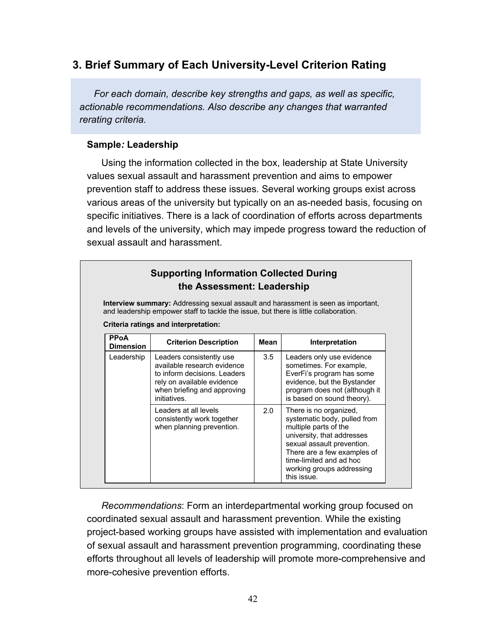# **3. Brief Summary of Each University-Level Criterion Rating**

*For each domain, describe key strengths and gaps, as well as specific, actionable recommendations. Also describe any changes that warranted rerating criteria.*

### **Sample***:* **Leadership**

Using the information collected in the box, leadership at State University values sexual assault and harassment prevention and aims to empower prevention staff to address these issues. Several working groups exist across various areas of the university but typically on an as-needed basis, focusing on specific initiatives. There is a lack of coordination of efforts across departments and levels of the university, which may impede progress toward the reduction of sexual assault and harassment.

|                                 | <b>Supporting Information Collected During</b><br>the Assessment: Leadership<br><b>Interview summary:</b> Addressing sexual assault and harassment is seen as important, |      |                                                                                                                                                                                                                                                   |
|---------------------------------|--------------------------------------------------------------------------------------------------------------------------------------------------------------------------|------|---------------------------------------------------------------------------------------------------------------------------------------------------------------------------------------------------------------------------------------------------|
|                                 | and leadership empower staff to tackle the issue, but there is little collaboration.                                                                                     |      |                                                                                                                                                                                                                                                   |
| <b>PPoA</b><br><b>Dimension</b> | Criteria ratings and interpretation:<br><b>Criterion Description</b>                                                                                                     | Mean | Interpretation                                                                                                                                                                                                                                    |
| Leadership                      | Leaders consistently use<br>available research evidence<br>to inform decisions. Leaders<br>rely on available evidence<br>when briefing and approving<br>initiatives.     | 3.5  | Leaders only use evidence<br>sometimes. For example,<br>EverFi's program has some<br>evidence, but the Bystander<br>program does not (although it<br>is based on sound theory).                                                                   |
|                                 | Leaders at all levels<br>consistently work together<br>when planning prevention.                                                                                         | 2.0  | There is no organized,<br>systematic body, pulled from<br>multiple parts of the<br>university, that addresses<br>sexual assault prevention.<br>There are a few examples of<br>time-limited and ad hoc<br>working groups addressing<br>this issue. |

*Recommendations*: Form an interdepartmental working group focused on coordinated sexual assault and harassment prevention. While the existing project-based working groups have assisted with implementation and evaluation of sexual assault and harassment prevention programming, coordinating these efforts throughout all levels of leadership will promote more-comprehensive and more-cohesive prevention efforts.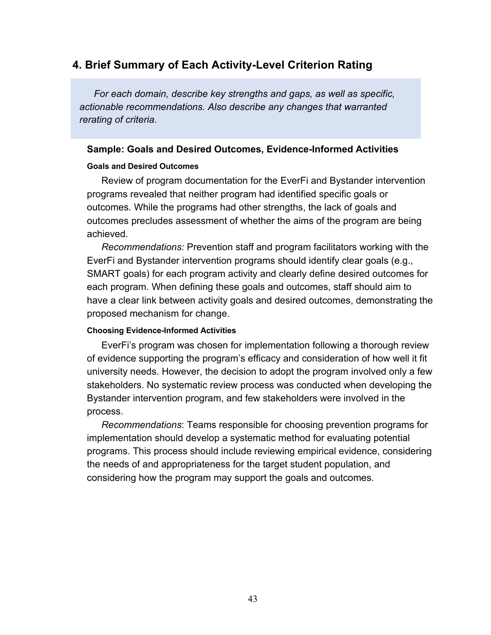# **4. Brief Summary of Each Activity-Level Criterion Rating**

*For each domain, describe key strengths and gaps, as well as specific, actionable recommendations. Also describe any changes that warranted rerating of criteria.*

#### **Sample: Goals and Desired Outcomes, Evidence-Informed Activities**

#### **Goals and Desired Outcomes**

Review of program documentation for the EverFi and Bystander intervention programs revealed that neither program had identified specific goals or outcomes. While the programs had other strengths, the lack of goals and outcomes precludes assessment of whether the aims of the program are being achieved.

*Recommendations:* Prevention staff and program facilitators working with the EverFi and Bystander intervention programs should identify clear goals (e.g., SMART goals) for each program activity and clearly define desired outcomes for each program. When defining these goals and outcomes, staff should aim to have a clear link between activity goals and desired outcomes, demonstrating the proposed mechanism for change.

#### **Choosing Evidence-Informed Activities**

EverFi's program was chosen for implementation following a thorough review of evidence supporting the program's efficacy and consideration of how well it fit university needs. However, the decision to adopt the program involved only a few stakeholders. No systematic review process was conducted when developing the Bystander intervention program, and few stakeholders were involved in the process.

*Recommendations*: Teams responsible for choosing prevention programs for implementation should develop a systematic method for evaluating potential programs. This process should include reviewing empirical evidence, considering the needs of and appropriateness for the target student population, and considering how the program may support the goals and outcomes.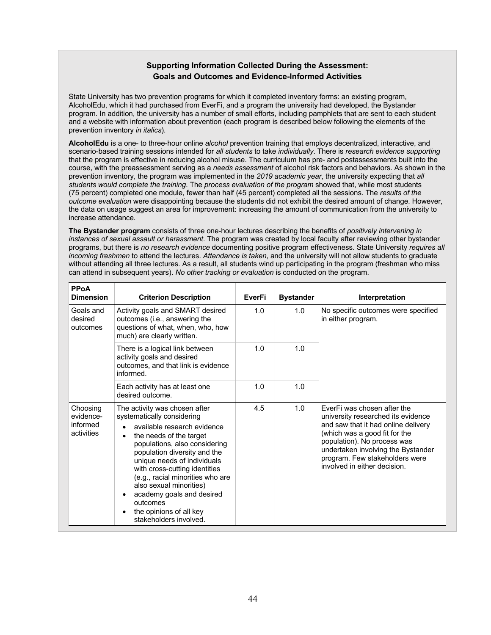#### **Supporting Information Collected During the Assessment: Goals and Outcomes and Evidence-Informed Activities**

State University has two prevention programs for which it completed inventory forms: an existing program, AlcoholEdu, which it had purchased from EverFi, and a program the university had developed, the Bystander program. In addition, the university has a number of small efforts, including pamphlets that are sent to each student and a website with information about prevention (each program is described below following the elements of the prevention inventory *in italics*).

**AlcoholEdu** is a one- to three-hour online *alcohol* prevention training that employs decentralized, interactive, and scenario-based training sessions intended for *all students* to take *individually*. There is *research evidence supporting* that the program is effective in reducing alcohol misuse. The curriculum has pre- and postassessments built into the course, with the preassessment serving as a *needs assessment* of alcohol risk factors and behaviors. As shown in the prevention inventory, the program was implemented in the *2019 academic year*, the university expecting that *all students would complete the training*. The *process evaluation of the program* showed that, while most students (75 percent) completed one module, fewer than half (45 percent) completed all the sessions. The *results of the outcome evaluation* were disappointing because the students did not exhibit the desired amount of change. However, the data on usage suggest an area for improvement: increasing the amount of communication from the university to increase attendance.

**The Bystander program** consists of three one-hour lectures describing the benefits of *positively intervening in instances of sexual assault or harassment*. The program was created by local faculty after reviewing other bystander programs, but there is *no research evidence* documenting positive program effectiveness. State University *requires all incoming freshmen* to attend the lectures. *Attendance is taken*, and the university will not allow students to graduate without attending all three lectures. As a result, all students wind up participating in the program (freshman who miss can attend in subsequent years). *No other tracking or evaluation* is conducted on the program.

| <b>PPoA</b><br><b>Dimension</b>                 | <b>Criterion Description</b>                                                                                                                                                                                                                                                                                                                                                                                                                               | EverFi | <b>Bystander</b> | Interpretation                                                                                                                                                                                                                                                                   |
|-------------------------------------------------|------------------------------------------------------------------------------------------------------------------------------------------------------------------------------------------------------------------------------------------------------------------------------------------------------------------------------------------------------------------------------------------------------------------------------------------------------------|--------|------------------|----------------------------------------------------------------------------------------------------------------------------------------------------------------------------------------------------------------------------------------------------------------------------------|
| Goals and<br>desired<br>outcomes                | Activity goals and SMART desired<br>outcomes (i.e., answering the<br>questions of what, when, who, how<br>much) are clearly written.                                                                                                                                                                                                                                                                                                                       | 1.0    | 1.0              | No specific outcomes were specified<br>in either program.                                                                                                                                                                                                                        |
|                                                 | There is a logical link between<br>activity goals and desired<br>outcomes, and that link is evidence<br>informed.                                                                                                                                                                                                                                                                                                                                          | 1.0    | 1.0              |                                                                                                                                                                                                                                                                                  |
|                                                 | Each activity has at least one<br>desired outcome.                                                                                                                                                                                                                                                                                                                                                                                                         | 1.0    | 1.0              |                                                                                                                                                                                                                                                                                  |
| Choosing<br>evidence-<br>informed<br>activities | The activity was chosen after<br>systematically considering<br>available research evidence<br>the needs of the target<br>$\bullet$<br>populations, also considering<br>population diversity and the<br>unique needs of individuals<br>with cross-cutting identities<br>(e.g., racial minorities who are<br>also sexual minorities)<br>academy goals and desired<br>$\bullet$<br>outcomes<br>the opinions of all key<br>$\bullet$<br>stakeholders involved. | 4.5    | 1.0              | EverFi was chosen after the<br>university researched its evidence<br>and saw that it had online delivery<br>(which was a good fit for the<br>population). No process was<br>undertaken involving the Bystander<br>program. Few stakeholders were<br>involved in either decision. |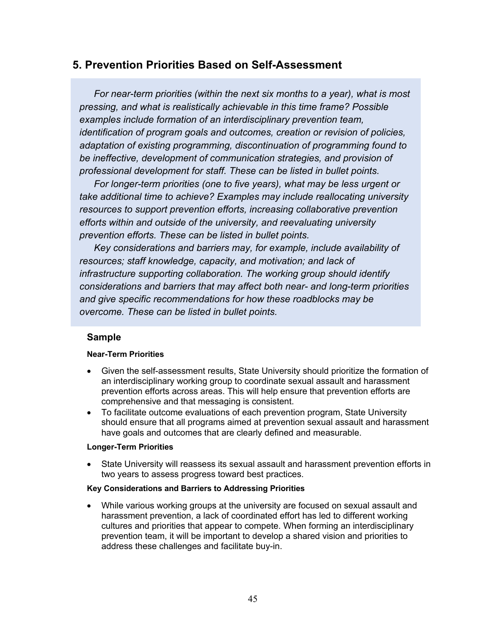## **5. Prevention Priorities Based on Self-Assessment**

*For near-term priorities (within the next six months to a year), what is most pressing, and what is realistically achievable in this time frame? Possible examples include formation of an interdisciplinary prevention team, identification of program goals and outcomes, creation or revision of policies, adaptation of existing programming, discontinuation of programming found to be ineffective, development of communication strategies, and provision of professional development for staff. These can be listed in bullet points.* 

*For longer-term priorities (one to five years), what may be less urgent or take additional time to achieve? Examples may include reallocating university resources to support prevention efforts, increasing collaborative prevention efforts within and outside of the university, and reevaluating university prevention efforts. These can be listed in bullet points.* 

*Key considerations and barriers may, for example, include availability of resources; staff knowledge, capacity, and motivation; and lack of infrastructure supporting collaboration. The working group should identify considerations and barriers that may affect both near- and long-term priorities and give specific recommendations for how these roadblocks may be overcome. These can be listed in bullet points.* 

### **Sample**

#### **Near-Term Priorities**

- Given the self-assessment results, State University should prioritize the formation of an interdisciplinary working group to coordinate sexual assault and harassment prevention efforts across areas. This will help ensure that prevention efforts are comprehensive and that messaging is consistent.
- To facilitate outcome evaluations of each prevention program, State University should ensure that all programs aimed at prevention sexual assault and harassment have goals and outcomes that are clearly defined and measurable.

#### **Longer-Term Priorities**

• State University will reassess its sexual assault and harassment prevention efforts in two years to assess progress toward best practices.

#### **Key Considerations and Barriers to Addressing Priorities**

• While various working groups at the university are focused on sexual assault and harassment prevention, a lack of coordinated effort has led to different working cultures and priorities that appear to compete. When forming an interdisciplinary prevention team, it will be important to develop a shared vision and priorities to address these challenges and facilitate buy-in.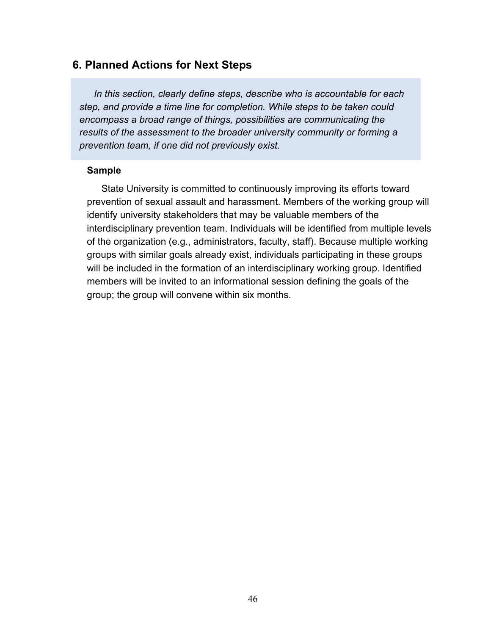### **6. Planned Actions for Next Steps**

*In this section, clearly define steps, describe who is accountable for each step, and provide a time line for completion. While steps to be taken could encompass a broad range of things, possibilities are communicating the results of the assessment to the broader university community or forming a prevention team, if one did not previously exist.*

#### **Sample**

State University is committed to continuously improving its efforts toward prevention of sexual assault and harassment. Members of the working group will identify university stakeholders that may be valuable members of the interdisciplinary prevention team. Individuals will be identified from multiple levels of the organization (e.g., administrators, faculty, staff). Because multiple working groups with similar goals already exist, individuals participating in these groups will be included in the formation of an interdisciplinary working group. Identified members will be invited to an informational session defining the goals of the group; the group will convene within six months.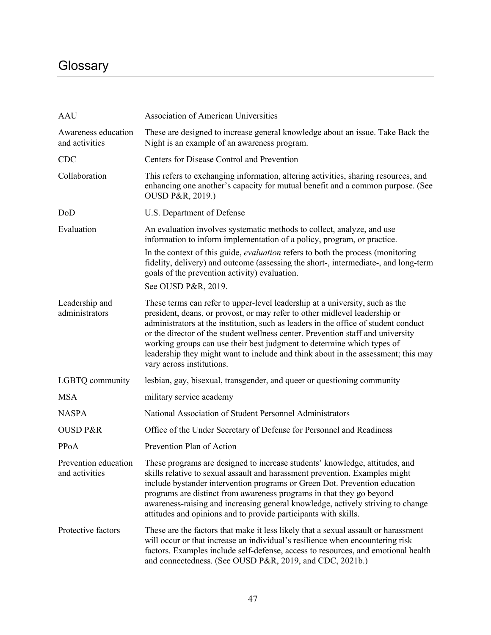# **Glossary**

| <b>AAU</b>                             | <b>Association of American Universities</b>                                                                                                                                                                                                                                                                                                                                                                                                                                                                                      |
|----------------------------------------|----------------------------------------------------------------------------------------------------------------------------------------------------------------------------------------------------------------------------------------------------------------------------------------------------------------------------------------------------------------------------------------------------------------------------------------------------------------------------------------------------------------------------------|
| Awareness education<br>and activities  | These are designed to increase general knowledge about an issue. Take Back the<br>Night is an example of an awareness program.                                                                                                                                                                                                                                                                                                                                                                                                   |
| <b>CDC</b>                             | Centers for Disease Control and Prevention                                                                                                                                                                                                                                                                                                                                                                                                                                                                                       |
| Collaboration                          | This refers to exchanging information, altering activities, sharing resources, and<br>enhancing one another's capacity for mutual benefit and a common purpose. (See<br>OUSD P&R, 2019.)                                                                                                                                                                                                                                                                                                                                         |
| DoD                                    | U.S. Department of Defense                                                                                                                                                                                                                                                                                                                                                                                                                                                                                                       |
| Evaluation                             | An evaluation involves systematic methods to collect, analyze, and use<br>information to inform implementation of a policy, program, or practice.                                                                                                                                                                                                                                                                                                                                                                                |
|                                        | In the context of this guide, <i>evaluation</i> refers to both the process (monitoring<br>fidelity, delivery) and outcome (assessing the short-, intermediate-, and long-term<br>goals of the prevention activity) evaluation.                                                                                                                                                                                                                                                                                                   |
|                                        | See OUSD P&R, 2019.                                                                                                                                                                                                                                                                                                                                                                                                                                                                                                              |
| Leadership and<br>administrators       | These terms can refer to upper-level leadership at a university, such as the<br>president, deans, or provost, or may refer to other midlevel leadership or<br>administrators at the institution, such as leaders in the office of student conduct<br>or the director of the student wellness center. Prevention staff and university<br>working groups can use their best judgment to determine which types of<br>leadership they might want to include and think about in the assessment; this may<br>vary across institutions. |
| LGBTQ community                        | lesbian, gay, bisexual, transgender, and queer or questioning community                                                                                                                                                                                                                                                                                                                                                                                                                                                          |
| <b>MSA</b>                             | military service academy                                                                                                                                                                                                                                                                                                                                                                                                                                                                                                         |
| <b>NASPA</b>                           | National Association of Student Personnel Administrators                                                                                                                                                                                                                                                                                                                                                                                                                                                                         |
| <b>OUSD P&amp;R</b>                    | Office of the Under Secretary of Defense for Personnel and Readiness                                                                                                                                                                                                                                                                                                                                                                                                                                                             |
| PPoA                                   | Prevention Plan of Action                                                                                                                                                                                                                                                                                                                                                                                                                                                                                                        |
| Prevention education<br>and activities | These programs are designed to increase students' knowledge, attitudes, and<br>skills relative to sexual assault and harassment prevention. Examples might<br>include bystander intervention programs or Green Dot. Prevention education<br>programs are distinct from awareness programs in that they go beyond<br>awareness-raising and increasing general knowledge, actively striving to change<br>attitudes and opinions and to provide participants with skills.                                                           |
| Protective factors                     | These are the factors that make it less likely that a sexual assault or harassment<br>will occur or that increase an individual's resilience when encountering risk<br>factors. Examples include self-defense, access to resources, and emotional health<br>and connectedness. (See OUSD P&R, 2019, and CDC, 2021b.)                                                                                                                                                                                                             |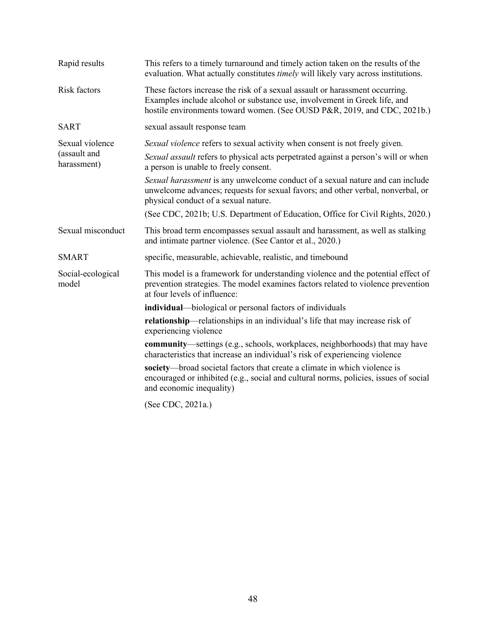| Rapid results               | This refers to a timely turnaround and timely action taken on the results of the<br>evaluation. What actually constitutes <i>timely</i> will likely vary across institutions.                                                         |  |  |  |
|-----------------------------|---------------------------------------------------------------------------------------------------------------------------------------------------------------------------------------------------------------------------------------|--|--|--|
| Risk factors                | These factors increase the risk of a sexual assault or harassment occurring.<br>Examples include alcohol or substance use, involvement in Greek life, and<br>hostile environments toward women. (See OUSD P&R, 2019, and CDC, 2021b.) |  |  |  |
| <b>SART</b>                 | sexual assault response team                                                                                                                                                                                                          |  |  |  |
| Sexual violence             | Sexual violence refers to sexual activity when consent is not freely given.                                                                                                                                                           |  |  |  |
| (assault and<br>harassment) | Sexual assault refers to physical acts perpetrated against a person's will or when<br>a person is unable to freely consent.                                                                                                           |  |  |  |
|                             | Sexual harassment is any unwelcome conduct of a sexual nature and can include<br>unwelcome advances; requests for sexual favors; and other verbal, nonverbal, or<br>physical conduct of a sexual nature.                              |  |  |  |
|                             | (See CDC, 2021b; U.S. Department of Education, Office for Civil Rights, 2020.)                                                                                                                                                        |  |  |  |
| Sexual misconduct           | This broad term encompasses sexual assault and harassment, as well as stalking<br>and intimate partner violence. (See Cantor et al., 2020.)                                                                                           |  |  |  |
| <b>SMART</b>                | specific, measurable, achievable, realistic, and timebound                                                                                                                                                                            |  |  |  |
| Social-ecological<br>model  | This model is a framework for understanding violence and the potential effect of<br>prevention strategies. The model examines factors related to violence prevention<br>at four levels of influence:                                  |  |  |  |
|                             | individual—biological or personal factors of individuals                                                                                                                                                                              |  |  |  |
|                             | relationship—relationships in an individual's life that may increase risk of<br>experiencing violence                                                                                                                                 |  |  |  |
|                             | <b>community</b> —settings (e.g., schools, workplaces, neighborhoods) that may have<br>characteristics that increase an individual's risk of experiencing violence                                                                    |  |  |  |
|                             | society—broad societal factors that create a climate in which violence is<br>encouraged or inhibited (e.g., social and cultural norms, policies, issues of social<br>and economic inequality)                                         |  |  |  |
|                             | (See CDC, 2021a.)                                                                                                                                                                                                                     |  |  |  |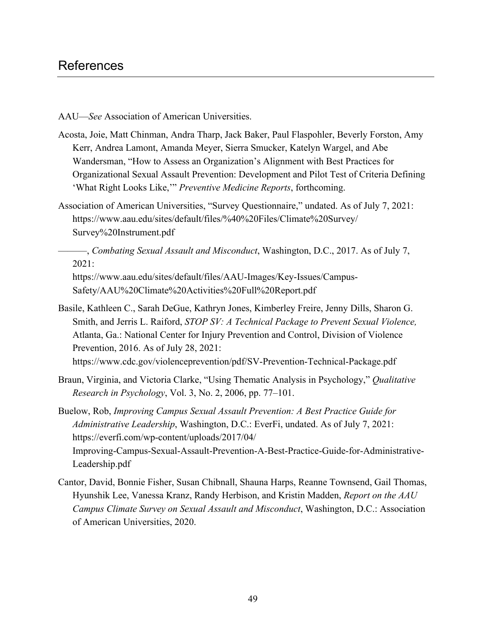AAU—*See* Association of American Universities.

- Acosta, Joie, Matt Chinman, Andra Tharp, Jack Baker, Paul Flaspohler, Beverly Forston, Amy Kerr, Andrea Lamont, Amanda Meyer, Sierra Smucker, Katelyn Wargel, and Abe Wandersman, "How to Assess an Organization's Alignment with Best Practices for Organizational Sexual Assault Prevention: Development and Pilot Test of Criteria Defining 'What Right Looks Like,'" *Preventive Medicine Reports*, forthcoming.
- Association of American Universities, "Survey Questionnaire," undated. As of July 7, 2021: [https://www.aau.edu/sites/default/files/%40%20Files/Climate%20Survey/](https://www.aau.edu/sites/default/files/%40%20Files/Climate%20Survey/Survey%20Instrument.pdf)  Survey%20Instrument.pdf
	- ———, *Combating Sexual Assault and Misconduct*, Washington, D.C., 2017. As of July 7, 2021:

[https://www.aau.edu/sites/default/files/AAU-Images/Key-Issues/Campus-](https://www.aau.edu/sites/default/files/AAU-Images/Key-Issues/Campus-Safety/AAU%20Climate%20Activities%20Full%20Report.pdf)Safety/AAU%20Climate%20Activities%20Full%20Report.pdf

- Basile, Kathleen C., Sarah DeGue, Kathryn Jones, Kimberley Freire, Jenny Dills, Sharon G. Smith, and Jerris L. Raiford, *STOP SV: A Technical Package to Prevent Sexual Violence,* Atlanta, Ga.: National Center for Injury Prevention and Control, Division of Violence Prevention, 2016. As of July 28, 2021: <https://www.cdc.gov/violenceprevention/pdf/SV-Prevention-Technical-Package.pdf>
- Braun, Virginia, and Victoria Clarke, "Using Thematic Analysis in Psychology," *Qualitative Research in Psychology*, Vol. 3, No. 2, 2006, pp. 77–101.
- Buelow, Rob, *Improving Campus Sexual Assault Prevention: A Best Practice Guide for Administrative Leadership*, Washington, D.C.: EverFi, undated. As of July 7, 2021: https://everfi.com/wp-content/uploads/2017/04/ [Improving-Campus-Sexual-Assault-Prevention-A-Best-Practice-Guide-for-Administrative-](https://everfi.com/wp-content/uploads/2017/04/Improving-Campus-Sexual-Assault-Prevention-A-Best-Practice-Guide-for-Administrative-Leadership.pdf)Leadership.pdf
- Cantor, David, Bonnie Fisher, Susan Chibnall, Shauna Harps, Reanne Townsend, Gail Thomas, Hyunshik Lee, Vanessa Kranz, Randy Herbison, and Kristin Madden, *Report on the AAU Campus Climate Survey on Sexual Assault and Misconduct*, Washington, D.C.: Association of American Universities, 2020.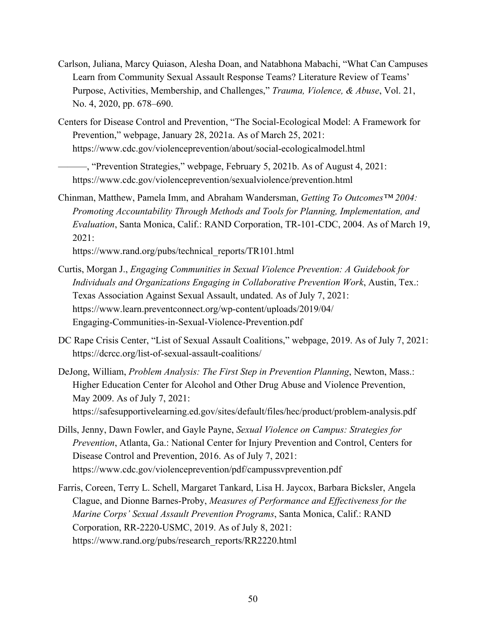- Carlson, Juliana, Marcy Quiason, Alesha Doan, and Natabhona Mabachi, "What Can Campuses Learn from Community Sexual Assault Response Teams? Literature Review of Teams' Purpose, Activities, Membership, and Challenges," *Trauma, Violence, & Abuse*, Vol. 21, No. 4, 2020, pp. 678–690.
- Centers for Disease Control and Prevention, "The Social-Ecological Model: A Framework for Prevention," webpage, January 28, 2021a. As of March 25, 2021: <https://www.cdc.gov/violenceprevention/about/social-ecologicalmodel.html>

Chinman, Matthew, Pamela Imm, and Abraham Wandersman, *Getting To Outcomes™ 2004: Promoting Accountability Through Methods and Tools for Planning, Implementation, and Evaluation*, Santa Monica, Calif.: RAND Corporation, TR-101-CDC, 2004. As of March 19, 2021:

[https://www.rand.org/pubs/technical\\_reports/TR101.html](https://www.rand.org/pubs/technical_reports/TR101.html) 

- Curtis, Morgan J., *Engaging Communities in Sexual Violence Prevention: A Guidebook for Individuals and Organizations Engaging in Collaborative Prevention Work*, Austin, Tex.: Texas Association Against Sexual Assault, undated. As of July 7, 2021: [https://www.learn.preventconnect.org/wp-content/uploads/2019/04/](https://www.learn.preventconnect.org/wp-content/uploads/2019/04/Engaging-Communities-in-Sexual-Violence-Prevention.pdf)  Engaging-Communities-in-Sexual-Violence-Prevention.pdf
- DC Rape Crisis Center, "List of Sexual Assault Coalitions," webpage, 2019. As of July 7, 2021: <https://dcrcc.org/list-of-sexual-assault-coalitions/>
- DeJong, William, *Problem Analysis: The First Step in Prevention Planning*, Newton, Mass.: Higher Education Center for Alcohol and Other Drug Abuse and Violence Prevention, May 2009. As of July 7, 2021: <https://safesupportivelearning.ed.gov/sites/default/files/hec/product/problem-analysis.pdf>
- Dills, Jenny, Dawn Fowler, and Gayle Payne, *Sexual Violence on Campus: Strategies for Prevention*, Atlanta, Ga.: National Center for Injury Prevention and Control, Centers for Disease Control and Prevention, 2016. As of July 7, 2021: <https://www.cdc.gov/violenceprevention/pdf/campussvprevention.pdf>
- Farris, Coreen, Terry L. Schell, Margaret Tankard, Lisa H. Jaycox, Barbara Bicksler, Angela Clague, and Dionne Barnes-Proby, *Measures of Performance and Effectiveness for the Marine Corps' Sexual Assault Prevention Programs*, Santa Monica, Calif.: RAND Corporation, RR-2220-USMC, 2019. As of July 8, 2021: [https://www.rand.org/pubs/research\\_reports/RR2220.html](https://www.rand.org/pubs/research_reports/RR2220.html)

<sup>———, &</sup>quot;Prevention Strategies," webpage, February 5, 2021b. As of August 4, 2021: <https://www.cdc.gov/violenceprevention/sexualviolence/prevention.html>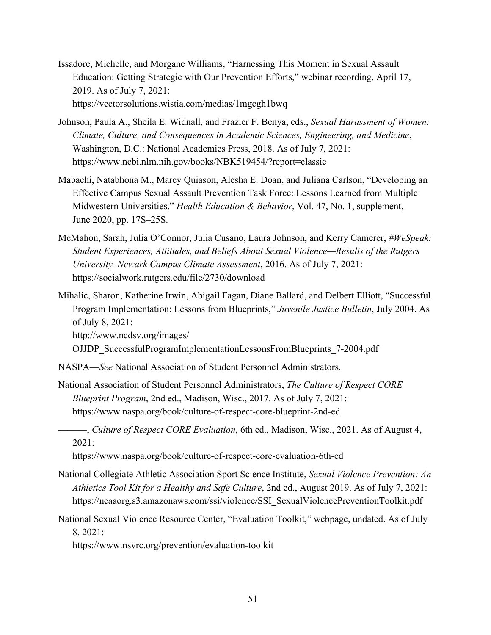Issadore, Michelle, and Morgane Williams, "Harnessing This Moment in Sexual Assault Education: Getting Strategic with Our Prevention Efforts," webinar recording, April 17, 2019. As of July 7, 2021: <https://vectorsolutions.wistia.com/medias/1mgcgh1bwq>

Johnson, Paula A., Sheila E. Widnall, and Frazier F. Benya, eds., *Sexual Harassment of Women: Climate, Culture, and Consequences in Academic Sciences, Engineering, and Medicine*, Washington, D.C.: National Academies Press, 2018. As of July 7, 2021: <https://www.ncbi.nlm.nih.gov/books/NBK519454/?report=classic>

- Mabachi, Natabhona M., Marcy Quiason, Alesha E. Doan, and Juliana Carlson, "Developing an Effective Campus Sexual Assault Prevention Task Force: Lessons Learned from Multiple Midwestern Universities," *Health Education & Behavior*, Vol. 47, No. 1, supplement, June 2020, pp. 17S–25S.
- McMahon, Sarah, Julia O'Connor, Julia Cusano, Laura Johnson, and Kerry Camerer, *#WeSpeak: Student Experiences, Attitudes, and Beliefs About Sexual Violence—Results of the Rutgers University–Newark Campus Climate Assessment*, 2016. As of July 7, 2021: <https://socialwork.rutgers.edu/file/2730/download>
- Mihalic, Sharon, Katherine Irwin, Abigail Fagan, Diane Ballard, and Delbert Elliott, "Successful Program Implementation: Lessons from Blueprints," *Juvenile Justice Bulletin*, July 2004. As of July 8, 2021:

http://www.ncdsv.org/images/

[OJJDP\\_SuccessfulProgramImplementationLessonsFromBlueprints\\_7-2004.pdf](http://www.ncdsv.org/images/OJJDP_SuccessfulProgramImplementationLessonsFromBlueprints_7-2004.pdf) 

NASPA—*See* National Association of Student Personnel Administrators.

National Association of Student Personnel Administrators, *The Culture of Respect CORE Blueprint Program*, 2nd ed., Madison, Wisc., 2017. As of July 7, 2021: <https://www.naspa.org/book/culture-of-respect-core-blueprint-2nd-ed>

———, *Culture of Respect CORE Evaluation*, 6th ed., Madison, Wisc., 2021. As of August 4, 2021:

<https://www.naspa.org/book/culture-of-respect-core-evaluation-6th-ed>

- National Collegiate Athletic Association Sport Science Institute, *Sexual Violence Prevention: An Athletics Tool Kit for a Healthy and Safe Culture*, 2nd ed., August 2019. As of July 7, 2021: [https://ncaaorg.s3.amazonaws.com/ssi/violence/SSI\\_SexualViolencePreventionToolkit.pdf](https://ncaaorg.s3.amazonaws.com/ssi/violence/SSI_SexualViolencePreventionToolkit.pdf)
- National Sexual Violence Resource Center, "Evaluation Toolkit," webpage, undated. As of July 8, 2021:

<https://www.nsvrc.org/prevention/evaluation-toolkit>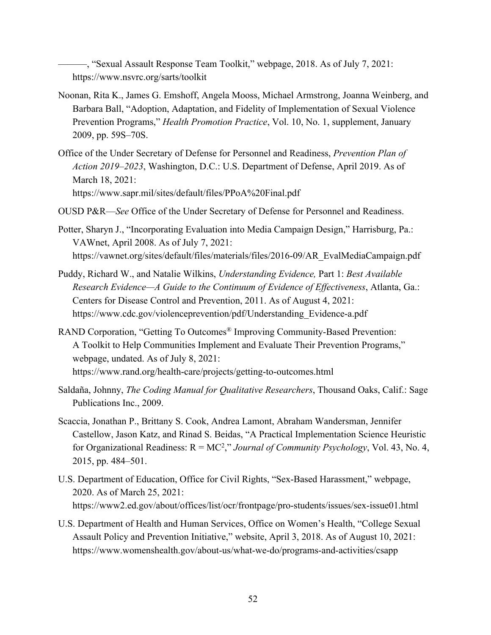———, "Sexual Assault Response Team Toolkit," webpage, 2018. As of July 7, 2021: <https://www.nsvrc.org/sarts/toolkit>

- Noonan, Rita K., James G. Emshoff, Angela Mooss, Michael Armstrong, Joanna Weinberg, and Barbara Ball, "Adoption, Adaptation, and Fidelity of Implementation of Sexual Violence Prevention Programs," *Health Promotion Practice*, Vol. 10, No. 1, supplement, January 2009, pp. 59S–70S.
- Office of the Under Secretary of Defense for Personnel and Readiness, *Prevention Plan of Action 2019–2023*, Washington, D.C.: U.S. Department of Defense, April 2019. As of March 18, 2021: <https://www.sapr.mil/sites/default/files/PPoA%20Final.pdf>
- OUSD P&R—*See* Office of the Under Secretary of Defense for Personnel and Readiness.
- Potter, Sharyn J., "Incorporating Evaluation into Media Campaign Design," Harrisburg, Pa.: VAWnet, April 2008. As of July 7, 2021: [https://vawnet.org/sites/default/files/materials/files/2016-09/AR\\_EvalMediaCampaign.pdf](https://vawnet.org/sites/default/files/materials/files/2016-09/AR_EvalMediaCampaign.pdf)
- Puddy, Richard W., and Natalie Wilkins, *Understanding Evidence,* Part 1: *Best Available Research Evidence—A Guide to the Continuum of Evidence of Effectiveness*, Atlanta, Ga.: Centers for Disease Control and Prevention, 2011. As of August 4, 2021: [https://www.cdc.gov/violenceprevention/pdf/Understanding\\_Evidence-a.pdf](https://www.cdc.gov/violenceprevention/pdf/Understanding_Evidence-a.pdf)
- RAND Corporation, "Getting To Outcomes® Improving Community-Based Prevention: A Toolkit to Help Communities Implement and Evaluate Their Prevention Programs," webpage, undated. As of July 8, 2021: <https://www.rand.org/health-care/projects/getting-to-outcomes.html>
- Saldaña, Johnny, *The Coding Manual for Qualitative Researchers*, Thousand Oaks, Calif.: Sage Publications Inc., 2009.
- Scaccia, Jonathan P., Brittany S. Cook, Andrea Lamont, Abraham Wandersman, Jennifer Castellow, Jason Katz, and Rinad S. Beidas, "A Practical Implementation Science Heuristic for Organizational Readiness: R = MC2 ," *Journal of Community Psychology*, Vol. 43, No. 4, 2015, pp. 484–501.
- U.S. Department of Education, Office for Civil Rights, "Sex-Based Harassment," webpage, 2020. As of March 25, 2021: <https://www2.ed.gov/about/offices/list/ocr/frontpage/pro-students/issues/sex-issue01.html>
- U.S. Department of Health and Human Services, Office on Women's Health, "College Sexual Assault Policy and Prevention Initiative," website, April 3, 2018. As of August 10, 2021: <https://www.womenshealth.gov/about-us/what-we-do/programs-and-activities/csapp>